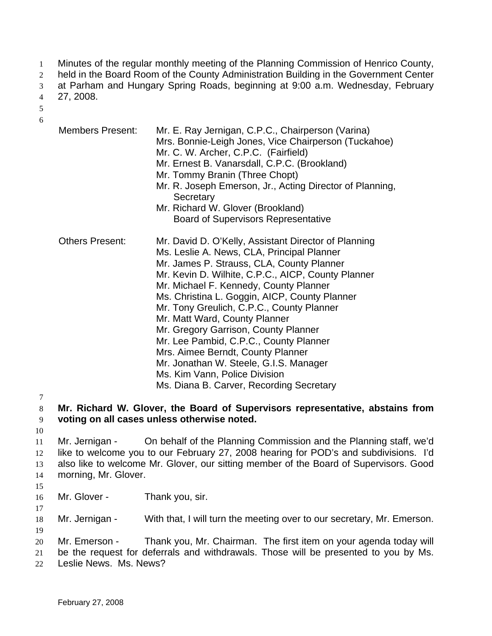Minutes of the regular monthly meeting of the Planning Commission of Henrico County, 1

held in the Board Room of the County Administration Building in the Government Center 2

at Parham and Hungary Spring Roads, beginning at 9:00 a.m. Wednesday, February 27, 2008. 3

4

5 6

| <b>Members Present:</b> | Mr. E. Ray Jernigan, C.P.C., Chairperson (Varina)<br>Mrs. Bonnie-Leigh Jones, Vice Chairperson (Tuckahoe)<br>Mr. C. W. Archer, C.P.C. (Fairfield)<br>Mr. Ernest B. Vanarsdall, C.P.C. (Brookland)<br>Mr. Tommy Branin (Three Chopt)<br>Mr. R. Joseph Emerson, Jr., Acting Director of Planning,<br>Secretary<br>Mr. Richard W. Glover (Brookland)<br><b>Board of Supervisors Representative</b>                                                                                                                                                                                                                              |
|-------------------------|------------------------------------------------------------------------------------------------------------------------------------------------------------------------------------------------------------------------------------------------------------------------------------------------------------------------------------------------------------------------------------------------------------------------------------------------------------------------------------------------------------------------------------------------------------------------------------------------------------------------------|
| <b>Others Present:</b>  | Mr. David D. O'Kelly, Assistant Director of Planning<br>Ms. Leslie A. News, CLA, Principal Planner<br>Mr. James P. Strauss, CLA, County Planner<br>Mr. Kevin D. Wilhite, C.P.C., AICP, County Planner<br>Mr. Michael F. Kennedy, County Planner<br>Ms. Christina L. Goggin, AICP, County Planner<br>Mr. Tony Greulich, C.P.C., County Planner<br>Mr. Matt Ward, County Planner<br>Mr. Gregory Garrison, County Planner<br>Mr. Lee Pambid, C.P.C., County Planner<br>Mrs. Aimee Berndt, County Planner<br>Mr. Jonathan W. Steele, G.I.S. Manager<br>Ms. Kim Vann, Police Division<br>Ms. Diana B. Carver, Recording Secretary |

8 9 **Mr. Richard W. Glover, the Board of Supervisors representative, abstains from voting on all cases unless otherwise noted.** 

10

7

11 12 13 14 Mr. Jernigan - On behalf of the Planning Commission and the Planning staff, we'd like to welcome you to our February 27, 2008 hearing for POD's and subdivisions. I'd also like to welcome Mr. Glover, our sitting member of the Board of Supervisors. Good morning, Mr. Glover.

- 15 16 Mr. Glover - Thank you, sir.
- 17

18 Mr. Jernigan - With that, I will turn the meeting over to our secretary, Mr. Emerson.

19 20 Mr. Emerson - Thank you, Mr. Chairman. The first item on your agenda today will

21 be the request for deferrals and withdrawals. Those will be presented to you by Ms.

22 Leslie News. Ms. News?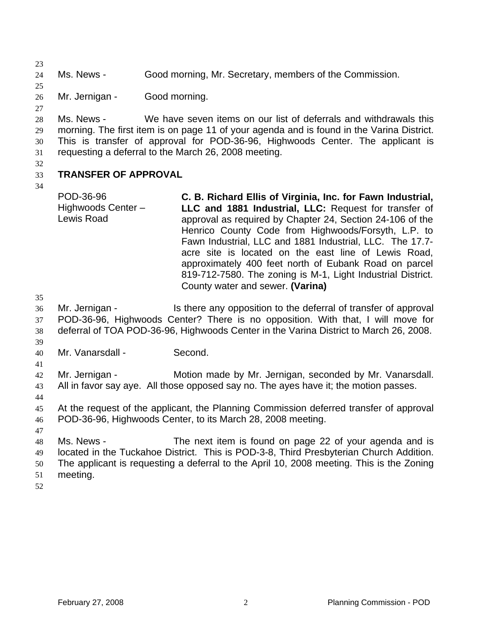24 Ms. News - Good morning, Mr. Secretary, members of the Commission.

25 26

23

Mr. Jernigan - Good morning.

27

28 29 30 31 Ms. News - We have seven items on our list of deferrals and withdrawals this morning. The first item is on page 11 of your agenda and is found in the Varina District. This is transfer of approval for POD-36-96, Highwoods Center. The applicant is requesting a deferral to the March 26, 2008 meeting.

32

### 33 **TRANSFER OF APPROVAL**

34

POD-36-96 Highwoods Center – Lewis Road **C. B. Richard Ellis of Virginia, Inc. for Fawn Industrial, LLC and 1881 Industrial, LLC:** Request for transfer of approval as required by Chapter 24, Section 24-106 of the Henrico County Code from Highwoods/Forsyth, L.P. to Fawn Industrial, LLC and 1881 Industrial, LLC. The 17.7 acre site is located on the east line of Lewis Road, approximately 400 feet north of Eubank Road on parcel 819-712-7580. The zoning is M-1, Light Industrial District. County water and sewer. **(Varina)** 

35

36 37 38 Mr. Jernigan - Is there any opposition to the deferral of transfer of approval POD-36-96, Highwoods Center? There is no opposition. With that, I will move for deferral of TOA POD-36-96, Highwoods Center in the Varina District to March 26, 2008.

39 40 Mr. Vanarsdall - Second.

41

42 43 Mr. Jernigan - **Motion made by Mr. Jernigan, seconded by Mr. Vanarsdall.** All in favor say aye. All those opposed say no. The ayes have it; the motion passes.

44

45 46 At the request of the applicant, the Planning Commission deferred transfer of approval POD-36-96, Highwoods Center, to its March 28, 2008 meeting.

47

48 49 50 51 Ms. News - The next item is found on page 22 of your agenda and is located in the Tuckahoe District. This is POD-3-8, Third Presbyterian Church Addition. The applicant is requesting a deferral to the April 10, 2008 meeting. This is the Zoning meeting.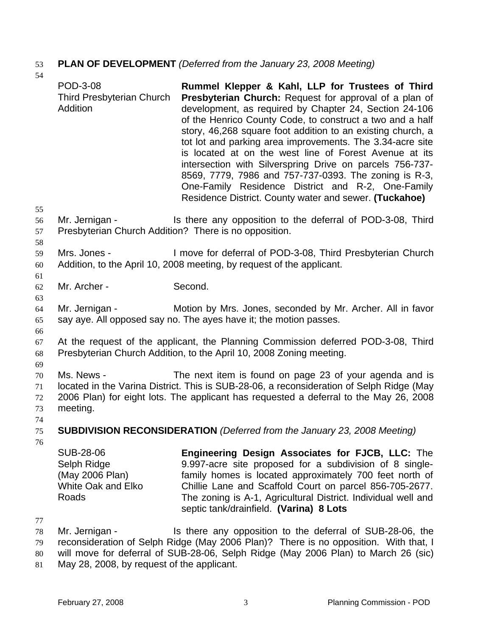## 53 **PLAN OF DEVELOPMENT** *(Deferred from the January 23, 2008 Meeting)*

- 54 55 56 57 58 59 60 61 62 63 64 65 66 67 68 69 70 71 72 73 74 75 76 POD-3-08 Third Presbyterian Church Addition **Rummel Klepper & Kahl, LLP for Trustees of Third Presbyterian Church:** Request for approval of a plan of development, as required by Chapter 24, Section 24-106 of the Henrico County Code, to construct a two and a half story, 46,268 square foot addition to an existing church, a tot lot and parking area improvements. The 3.34-acre site is located at on the west line of Forest Avenue at its intersection with Silverspring Drive on parcels 756-737- 8569, 7779, 7986 and 757-737-0393. The zoning is R-3, One-Family Residence District and R-2, One-Family Residence District. County water and sewer. **(Tuckahoe)**  Mr. Jernigan - Is there any opposition to the deferral of POD-3-08, Third Presbyterian Church Addition? There is no opposition. Mrs. Jones - I move for deferral of POD-3-08, Third Presbyterian Church Addition, to the April 10, 2008 meeting, by request of the applicant. Mr. Archer - Second. Mr. Jernigan - Motion by Mrs. Jones, seconded by Mr. Archer. All in favor say aye. All opposed say no. The ayes have it; the motion passes. At the request of the applicant, the Planning Commission deferred POD-3-08, Third Presbyterian Church Addition, to the April 10, 2008 Zoning meeting. Ms. News - The next item is found on page 23 of your agenda and is located in the Varina District. This is SUB-28-06, a reconsideration of Selph Ridge (May 2006 Plan) for eight lots. The applicant has requested a deferral to the May 26, 2008 meeting. **SUBDIVISION RECONSIDERATION** *(Deferred from the January 23, 2008 Meeting)* SUB-28-06 Selph Ridge (May 2006 Plan) White Oak and Elko Roads **Engineering Design Associates for FJCB, LLC:** The 9.997-acre site proposed for a subdivision of 8 singlefamily homes is located approximately 700 feet north of Chillie Lane and Scaffold Court on parcel 856-705-2677. The zoning is A-1, Agricultural District. Individual well and septic tank/drainfield. **(Varina) 8 Lots**
- 77
- 78 Mr. Jernigan - Is there any opposition to the deferral of SUB-28-06, the
- 79 reconsideration of Selph Ridge (May 2006 Plan)? There is no opposition. With that, I
- 80 will move for deferral of SUB-28-06, Selph Ridge (May 2006 Plan) to March 26 (sic)
- 81 May 28, 2008, by request of the applicant.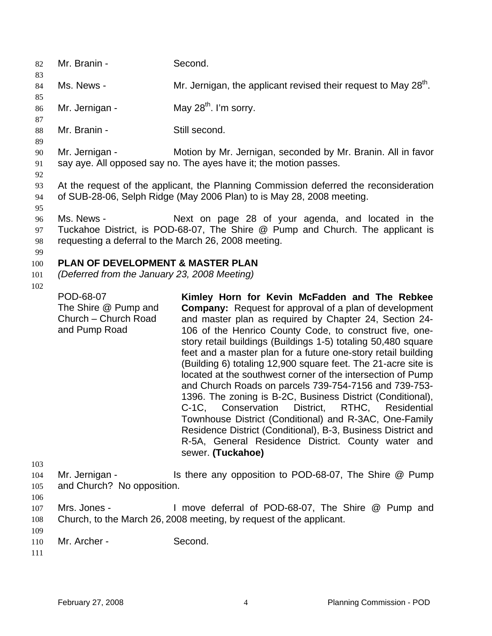82 Mr. Branin - Second. 83 84 85 86 87 88 89 90 91 92 93 94 95 96 97 98 99 100 101 102 103 104 105 106 107 108 109 110 111 Ms. News -  $\blacksquare$  Mr. Jernigan, the applicant revised their request to May 28<sup>th</sup>. Mr. Jernigan -  $\mu$  May 28<sup>th</sup>. I'm sorry. Mr. Branin - Still second. Mr. Jernigan - Motion by Mr. Jernigan, seconded by Mr. Branin. All in favor say aye. All opposed say no. The ayes have it; the motion passes. At the request of the applicant, the Planning Commission deferred the reconsideration of SUB-28-06, Selph Ridge (May 2006 Plan) to is May 28, 2008 meeting. Ms. News - Next on page 28 of your agenda, and located in the Tuckahoe District, is POD-68-07, The Shire @ Pump and Church. The applicant is requesting a deferral to the March 26, 2008 meeting. **PLAN OF DEVELOPMENT & MASTER PLAN**  *(Deferred from the January 23, 2008 Meeting)*  POD-68-07 The Shire @ Pump and Church – Church Road and Pump Road **Kimley Horn for Kevin McFadden and The Rebkee Company:** Request for approval of a plan of development and master plan as required by Chapter 24, Section 24- 106 of the Henrico County Code, to construct five, onestory retail buildings (Buildings 1-5) totaling 50,480 square feet and a master plan for a future one-story retail building (Building 6) totaling 12,900 square feet. The 21-acre site is located at the southwest corner of the intersection of Pump and Church Roads on parcels 739-754-7156 and 739-753- 1396. The zoning is B-2C, Business District (Conditional), C-1C, Conservation District, RTHC, Residential Townhouse District (Conditional) and R-3AC, One-Family Residence District (Conditional), B-3, Business District and R-5A, General Residence District. County water and sewer. **(Tuckahoe)**  Mr. Jernigan - Is there any opposition to POD-68-07, The Shire @ Pump and Church? No opposition. Mrs. Jones - I move deferral of POD-68-07, The Shire @ Pump and Church, to the March 26, 2008 meeting, by request of the applicant. Mr. Archer - Second.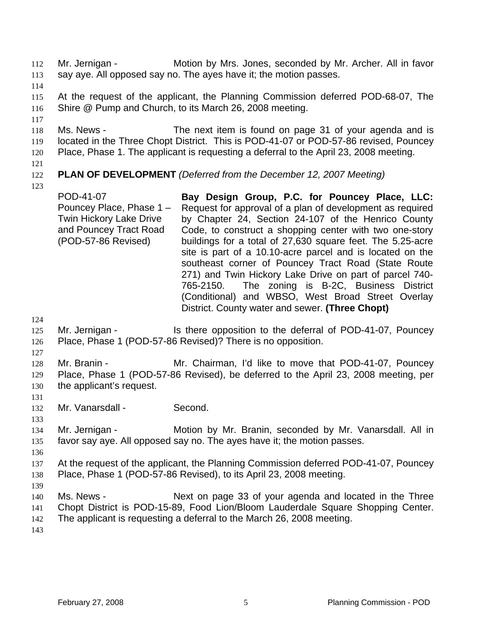Mr. Jernigan - Motion by Mrs. Jones, seconded by Mr. Archer. All in favor say aye. All opposed say no. The ayes have it; the motion passes. 112 113

114

115 116 At the request of the applicant, the Planning Commission deferred POD-68-07, The Shire @ Pump and Church, to its March 26, 2008 meeting.

117

118 119 120 Ms. News - The next item is found on page 31 of your agenda and is located in the Three Chopt District. This is POD-41-07 or POD-57-86 revised, Pouncey Place, Phase 1. The applicant is requesting a deferral to the April 23, 2008 meeting.

121

### 122 **PLAN OF DEVELOPMENT** *(Deferred from the December 12, 2007 Meeting)*

123

POD-41-07 Pouncey Place, Phase 1 – Twin Hickory Lake Drive and Pouncey Tract Road (POD-57-86 Revised) **Bay Design Group, P.C. for Pouncey Place, LLC:**  Request for approval of a plan of development as required by Chapter 24, Section 24-107 of the Henrico County Code, to construct a shopping center with two one-story buildings for a total of 27,630 square feet. The 5.25-acre site is part of a 10.10-acre parcel and is located on the southeast corner of Pouncey Tract Road (State Route 271) and Twin Hickory Lake Drive on part of parcel 740- 765-2150. The zoning is B-2C, Business District (Conditional) and WBSO, West Broad Street Overlay District. County water and sewer. **(Three Chopt)** 

124

125 126 Mr. Jernigan - Is there opposition to the deferral of POD-41-07, Pouncey Place, Phase 1 (POD-57-86 Revised)? There is no opposition.

127

128 129 130 Mr. Branin - **Mr. Chairman, I'd like to move that POD-41-07, Pouncey** Place, Phase 1 (POD-57-86 Revised), be deferred to the April 23, 2008 meeting, per the applicant's request.

132 Mr. Vanarsdall - Second.

133

131

134 135 Mr. Jernigan - **Motion by Mr. Branin, seconded by Mr. Vanarsdall. All in** favor say aye. All opposed say no. The ayes have it; the motion passes.

136

137 138 At the request of the applicant, the Planning Commission deferred POD-41-07, Pouncey Place, Phase 1 (POD-57-86 Revised), to its April 23, 2008 meeting.

139

140 Ms. News - Next on page 33 of your agenda and located in the Three

141 Chopt District is POD-15-89, Food Lion/Bloom Lauderdale Square Shopping Center.

142 The applicant is requesting a deferral to the March 26, 2008 meeting.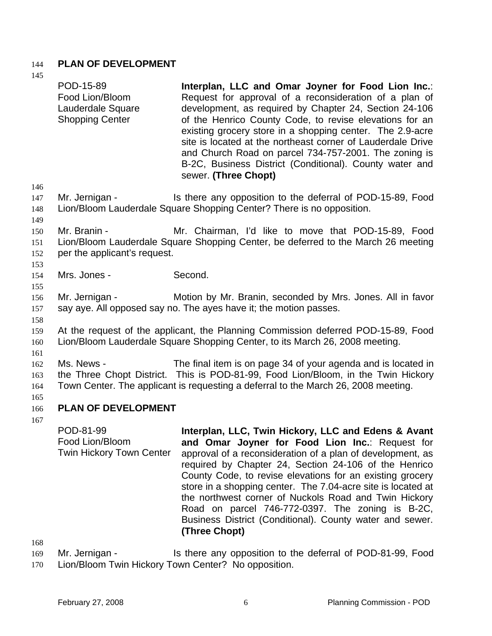## 144 **PLAN OF DEVELOPMENT**

| 145                             |                                                                                                                                                                                                                                        |                                                                                                                                                                                                                                                                                                                                                                                                                                                                                                                                                      |  |  |  |
|---------------------------------|----------------------------------------------------------------------------------------------------------------------------------------------------------------------------------------------------------------------------------------|------------------------------------------------------------------------------------------------------------------------------------------------------------------------------------------------------------------------------------------------------------------------------------------------------------------------------------------------------------------------------------------------------------------------------------------------------------------------------------------------------------------------------------------------------|--|--|--|
|                                 | POD-15-89<br>Food Lion/Bloom<br>Lauderdale Square<br><b>Shopping Center</b>                                                                                                                                                            | Interplan, LLC and Omar Joyner for Food Lion Inc.:<br>Request for approval of a reconsideration of a plan of<br>development, as required by Chapter 24, Section 24-106<br>of the Henrico County Code, to revise elevations for an<br>existing grocery store in a shopping center. The 2.9-acre<br>site is located at the northeast corner of Lauderdale Drive<br>and Church Road on parcel 734-757-2001. The zoning is<br>B-2C, Business District (Conditional). County water and<br>sewer. (Three Chopt)                                            |  |  |  |
| 146<br>147<br>148<br>149        | Mr. Jernigan -                                                                                                                                                                                                                         | Is there any opposition to the deferral of POD-15-89, Food<br>Lion/Bloom Lauderdale Square Shopping Center? There is no opposition.                                                                                                                                                                                                                                                                                                                                                                                                                  |  |  |  |
| 150<br>151<br>152<br>153        | Mr. Branin -<br>per the applicant's request.                                                                                                                                                                                           | Mr. Chairman, I'd like to move that POD-15-89, Food<br>Lion/Bloom Lauderdale Square Shopping Center, be deferred to the March 26 meeting                                                                                                                                                                                                                                                                                                                                                                                                             |  |  |  |
| 154                             | Mrs. Jones -                                                                                                                                                                                                                           | Second.                                                                                                                                                                                                                                                                                                                                                                                                                                                                                                                                              |  |  |  |
| 155<br>156<br>157<br>158<br>159 | Mr. Jernigan -<br>Motion by Mr. Branin, seconded by Mrs. Jones. All in favor<br>say aye. All opposed say no. The ayes have it; the motion passes.<br>At the request of the applicant, the Planning Commission deferred POD-15-89, Food |                                                                                                                                                                                                                                                                                                                                                                                                                                                                                                                                                      |  |  |  |
| 160<br>161                      |                                                                                                                                                                                                                                        | Lion/Bloom Lauderdale Square Shopping Center, to its March 26, 2008 meeting.                                                                                                                                                                                                                                                                                                                                                                                                                                                                         |  |  |  |
| 162<br>163<br>164<br>165        | Ms. News -                                                                                                                                                                                                                             | The final item is on page 34 of your agenda and is located in<br>the Three Chopt District. This is POD-81-99, Food Lion/Bloom, in the Twin Hickory<br>Town Center. The applicant is requesting a deferral to the March 26, 2008 meeting.                                                                                                                                                                                                                                                                                                             |  |  |  |
| 166<br>167                      | PLAN OF DEVELOPMENT                                                                                                                                                                                                                    |                                                                                                                                                                                                                                                                                                                                                                                                                                                                                                                                                      |  |  |  |
| 1 <sub>CD</sub>                 | POD-81-99<br>Food Lion/Bloom<br><b>Twin Hickory Town Center</b>                                                                                                                                                                        | Interplan, LLC, Twin Hickory, LLC and Edens & Avant<br>and Omar Joyner for Food Lion Inc.: Request for<br>approval of a reconsideration of a plan of development, as<br>required by Chapter 24, Section 24-106 of the Henrico<br>County Code, to revise elevations for an existing grocery<br>store in a shopping center. The 7.04-acre site is located at<br>the northwest corner of Nuckols Road and Twin Hickory<br>Road on parcel 746-772-0397. The zoning is B-2C,<br>Business District (Conditional). County water and sewer.<br>(Three Chopt) |  |  |  |

168

169 170 Mr. Jernigan - Is there any opposition to the deferral of POD-81-99, Food Lion/Bloom Twin Hickory Town Center? No opposition.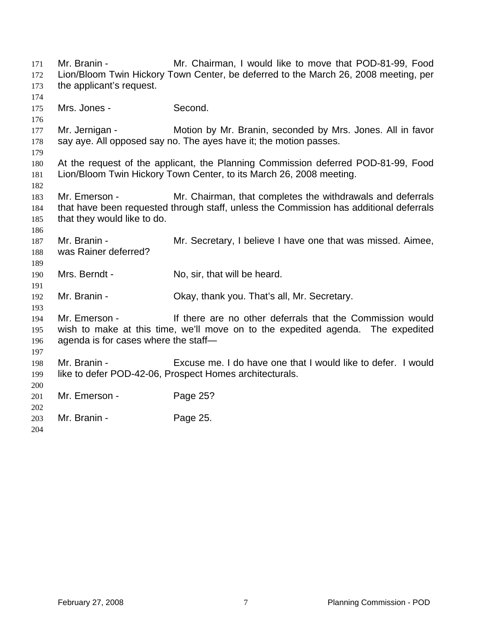Mr. Branin - Mr. Chairman, I would like to move that POD-81-99, Food Lion/Bloom Twin Hickory Town Center, be deferred to the March 26, 2008 meeting, per the applicant's request. 171 172 173 174 175 176 177 178 179 180 181 182 183 184 185 186 187 188 189 190 191 192 193 194 195 196 197 198 199 200 201 202 203 204 Mrs. Jones - Second. Mr. Jernigan - Motion by Mr. Branin, seconded by Mrs. Jones. All in favor say aye. All opposed say no. The ayes have it; the motion passes. At the request of the applicant, the Planning Commission deferred POD-81-99, Food Lion/Bloom Twin Hickory Town Center, to its March 26, 2008 meeting. Mr. Emerson - Mr. Chairman, that completes the withdrawals and deferrals that have been requested through staff, unless the Commission has additional deferrals that they would like to do. Mr. Branin - Mr. Secretary, I believe I have one that was missed. Aimee, was Rainer deferred? Mrs. Berndt - No, sir, that will be heard. Mr. Branin - Ckay, thank you. That's all, Mr. Secretary. Mr. Emerson - If there are no other deferrals that the Commission would wish to make at this time, we'll move on to the expedited agenda. The expedited agenda is for cases where the staff— Mr. Branin - Excuse me. I do have one that I would like to defer. I would like to defer POD-42-06, Prospect Homes architecturals. Mr. Emerson - Page 25? Mr. Branin - Page 25.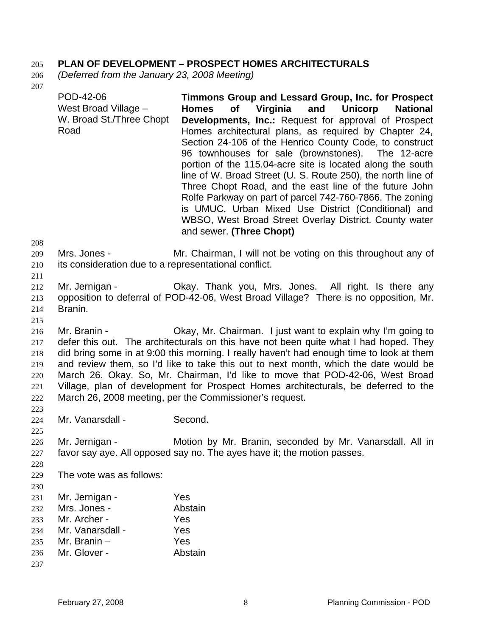# 205 **PLAN OF DEVELOPMENT – PROSPECT HOMES ARCHITECTURALS**

206 *(Deferred from the January 23, 2008 Meeting)* 

207

| POD-42-06<br>West Broad Village -<br>W. Broad St./Three Chopt<br>Road | Timmons Group and Lessard Group, Inc. for Prospect<br><b>Homes</b><br>of<br>Virginia<br>and<br>Unicorp<br><b>National</b><br>Developments, Inc.: Request for approval of Prospect<br>Homes architectural plans, as required by Chapter 24,<br>Section 24-106 of the Henrico County Code, to construct<br>96 townhouses for sale (brownstones). The 12-acre<br>portion of the 115.04-acre site is located along the south<br>line of W. Broad Street (U. S. Route 250), the north line of<br>Three Chopt Road, and the east line of the future John<br>Rolfe Parkway on part of parcel 742-760-7866. The zoning<br>is UMUC, Urban Mixed Use District (Conditional) and<br>WBSO, West Broad Street Overlay District. County water<br>and sewer. (Three Chopt) |
|-----------------------------------------------------------------------|-------------------------------------------------------------------------------------------------------------------------------------------------------------------------------------------------------------------------------------------------------------------------------------------------------------------------------------------------------------------------------------------------------------------------------------------------------------------------------------------------------------------------------------------------------------------------------------------------------------------------------------------------------------------------------------------------------------------------------------------------------------|
| Mrs. Jones -<br>its consideration due to a representational conflict. | Mr. Chairman, I will not be voting on this throughout any of                                                                                                                                                                                                                                                                                                                                                                                                                                                                                                                                                                                                                                                                                                |
| Mr. Jernigan -<br>Branin.                                             | Okay. Thank you, Mrs. Jones. All right. Is there any<br>opposition to deferral of POD-42-06, West Broad Village? There is no opposition, Mr.                                                                                                                                                                                                                                                                                                                                                                                                                                                                                                                                                                                                                |
| Mr. Branin -                                                          | Okay, Mr. Chairman. I just want to explain why I'm going to<br>defer this out. The architecturals on this have not been quite what I had hoped. They<br>did bring some in at 9:00 this morning. I really haven't had enough time to look at them<br>and review them, so I'd like to take this out to next month, which the date would be<br>March 26. Okay. So, Mr. Chairman, I'd like to move that POD-42-06, West Broad<br>Village, plan of development for Prospect Homes architecturals, be deferred to the<br>March 26, 2008 meeting, per the Commissioner's request.                                                                                                                                                                                  |
| Mr. Vanarsdall -                                                      | Second.                                                                                                                                                                                                                                                                                                                                                                                                                                                                                                                                                                                                                                                                                                                                                     |
| Mr. Jernigan -                                                        | Motion by Mr. Branin, seconded by Mr. Vanarsdall. All in<br>favor say aye. All opposed say no. The ayes have it; the motion passes.                                                                                                                                                                                                                                                                                                                                                                                                                                                                                                                                                                                                                         |
| The vote was as follows:                                              |                                                                                                                                                                                                                                                                                                                                                                                                                                                                                                                                                                                                                                                                                                                                                             |
| Mr. Jernigan -<br>Mrs. Jones -                                        | Yes<br>Abstain                                                                                                                                                                                                                                                                                                                                                                                                                                                                                                                                                                                                                                                                                                                                              |

- 233 234 Mr. Archer - Yes Mr. Vanarsdall - Yes
- 235 Mr. Branin – Yes
- 236 Mr. Glover - Abstain
- 237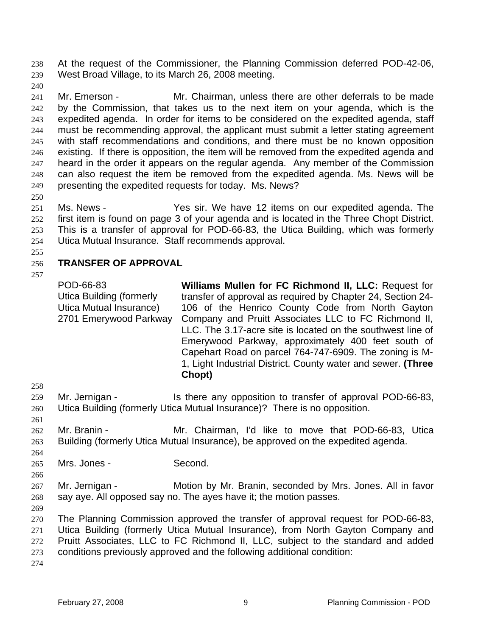At the request of the Commissioner, the Planning Commission deferred POD-42-06, West Broad Village, to its March 26, 2008 meeting. 238 239

240

241 242 243 244 245 246 247 248 249 Mr. Emerson - Mr. Chairman, unless there are other deferrals to be made by the Commission, that takes us to the next item on your agenda, which is the expedited agenda. In order for items to be considered on the expedited agenda, staff must be recommending approval, the applicant must submit a letter stating agreement with staff recommendations and conditions, and there must be no known opposition existing. If there is opposition, the item will be removed from the expedited agenda and heard in the order it appears on the regular agenda. Any member of the Commission can also request the item be removed from the expedited agenda. Ms. News will be presenting the expedited requests for today. Ms. News?

250 251

252 253 254 Ms. News - Yes sir. We have 12 items on our expedited agenda. The first item is found on page 3 of your agenda and is located in the Three Chopt District. This is a transfer of approval for POD-66-83, the Utica Building, which was formerly Utica Mutual Insurance. Staff recommends approval.

255

### 256 **TRANSFER OF APPROVAL**

257 258 POD-66-83 Utica Building (formerly Utica Mutual Insurance) 2701 Emerywood Parkway **Williams Mullen for FC Richmond II, LLC:** Request for transfer of approval as required by Chapter 24, Section 24- 106 of the Henrico County Code from North Gayton Company and Pruitt Associates LLC to FC Richmond II, LLC. The 3.17-acre site is located on the southwest line of Emerywood Parkway, approximately 400 feet south of Capehart Road on parcel 764-747-6909. The zoning is M-1, Light Industrial District. County water and sewer. **(Three Chopt)** 

- 259 260 Mr. Jernigan - Is there any opposition to transfer of approval POD-66-83, Utica Building (formerly Utica Mutual Insurance)? There is no opposition.
- 262 263 Mr. Branin - Mr. Chairman, I'd like to move that POD-66-83, Utica Building (formerly Utica Mutual Insurance), be approved on the expedited agenda.
- 264 265 Mrs. Jones - Second.
- 267 268 Mr. Jernigan - Motion by Mr. Branin, seconded by Mrs. Jones. All in favor say aye. All opposed say no. The ayes have it; the motion passes.
- 269

266

261

270 271 272 273 The Planning Commission approved the transfer of approval request for POD-66-83, Utica Building (formerly Utica Mutual Insurance), from North Gayton Company and Pruitt Associates, LLC to FC Richmond II, LLC, subject to the standard and added conditions previously approved and the following additional condition: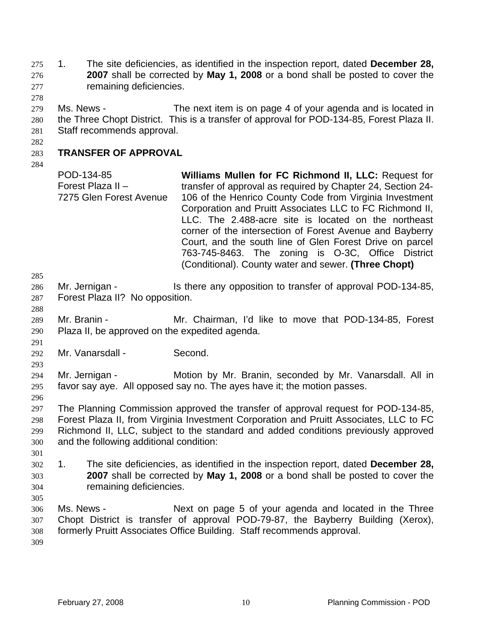1. The site deficiencies, as identified in the inspection report, dated **December 28, 2007** shall be corrected by **May 1, 2008** or a bond shall be posted to cover the remaining deficiencies. 275 276 277

279 280 281 Ms. News - The next item is on page 4 of your agenda and is located in the Three Chopt District. This is a transfer of approval for POD-134-85, Forest Plaza II. Staff recommends approval.

282

278

### 283 **TRANSFER OF APPROVAL**

284

285

288

291

293

POD-134-85 Forest Plaza II – 7275 Glen Forest Avenue **Williams Mullen for FC Richmond II, LLC:** Request for transfer of approval as required by Chapter 24, Section 24- 106 of the Henrico County Code from Virginia Investment Corporation and Pruitt Associates LLC to FC Richmond II, LLC. The 2.488-acre site is located on the northeast corner of the intersection of Forest Avenue and Bayberry Court, and the south line of Glen Forest Drive on parcel 763-745-8463. The zoning is O-3C, Office District (Conditional). County water and sewer. **(Three Chopt)** 

- 286 287 Mr. Jernigan - Is there any opposition to transfer of approval POD-134-85, Forest Plaza II? No opposition.
- 289 290 Mr. Branin - **Mr. Chairman, I'd like to move that POD-134-85, Forest** Plaza II, be approved on the expedited agenda.
- 292 Mr. Vanarsdall - Second.
- 294 295 Mr. Jernigan - **Motion by Mr. Branin, seconded by Mr. Vanarsdall. All in** favor say aye. All opposed say no. The ayes have it; the motion passes.
- 296

297 298 299 300 The Planning Commission approved the transfer of approval request for POD-134-85, Forest Plaza II, from Virginia Investment Corporation and Pruitt Associates, LLC to FC Richmond II, LLC, subject to the standard and added conditions previously approved and the following additional condition:

- 301
- 302 303 304 1. The site deficiencies, as identified in the inspection report, dated **December 28, 2007** shall be corrected by **May 1, 2008** or a bond shall be posted to cover the remaining deficiencies.
- 305

306 307 308 309 Ms. News - Next on page 5 of your agenda and located in the Three Chopt District is transfer of approval POD-79-87, the Bayberry Building (Xerox), formerly Pruitt Associates Office Building. Staff recommends approval.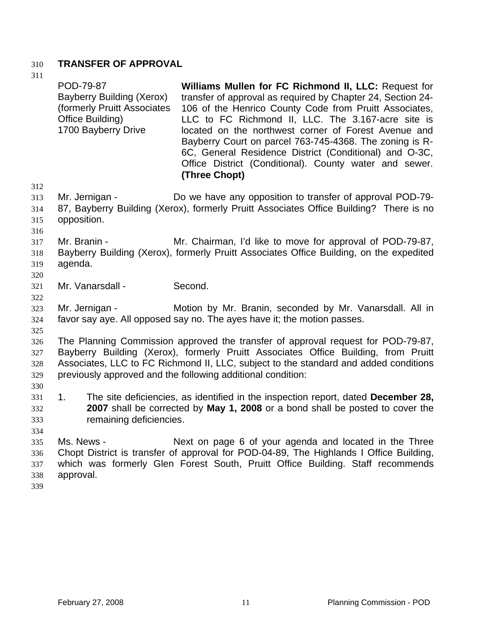311 312 313 314 315 316 317 318 319 320 321 322 323 324 325 326 327 328 329 330 331 332 333 334 335 336 337 338 339 POD-79-87 Bayberry Building (Xerox) (formerly Pruitt Associates Office Building) 1700 Bayberry Drive **Williams Mullen for FC Richmond II, LLC:** Request for transfer of approval as required by Chapter 24, Section 24- 106 of the Henrico County Code from Pruitt Associates, LLC to FC Richmond II, LLC. The 3.167-acre site is located on the northwest corner of Forest Avenue and Bayberry Court on parcel 763-745-4368. The zoning is R-6C, General Residence District (Conditional) and O-3C, Office District (Conditional). County water and sewer. **(Three Chopt)**  Mr. Jernigan - Do we have any opposition to transfer of approval POD-79- 87, Bayberry Building (Xerox), formerly Pruitt Associates Office Building? There is no opposition. Mr. Branin - Mr. Chairman, I'd like to move for approval of POD-79-87, Bayberry Building (Xerox), formerly Pruitt Associates Office Building, on the expedited agenda. Mr. Vanarsdall - Second. Mr. Jernigan - Motion by Mr. Branin, seconded by Mr. Vanarsdall. All in favor say aye. All opposed say no. The ayes have it; the motion passes. The Planning Commission approved the transfer of approval request for POD-79-87, Bayberry Building (Xerox), formerly Pruitt Associates Office Building, from Pruitt Associates, LLC to FC Richmond II, LLC, subject to the standard and added conditions previously approved and the following additional condition: 1. The site deficiencies, as identified in the inspection report, dated **December 28, 2007** shall be corrected by **May 1, 2008** or a bond shall be posted to cover the remaining deficiencies. Ms. News - Next on page 6 of your agenda and located in the Three Chopt District is transfer of approval for POD-04-89, The Highlands I Office Building, which was formerly Glen Forest South, Pruitt Office Building. Staff recommends approval.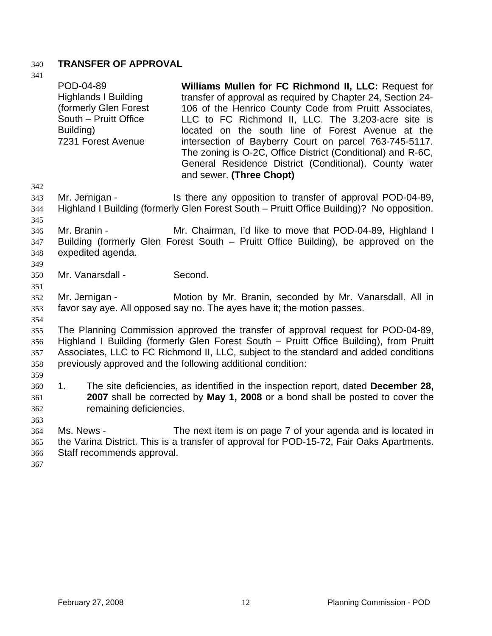| 341<br>342                      | POD-04-89<br><b>Highlands I Building</b><br>(formerly Glen Forest<br>South - Pruitt Office<br>Building)<br>7231 Forest Avenue | Williams Mullen for FC Richmond II, LLC: Request for<br>transfer of approval as required by Chapter 24, Section 24-<br>106 of the Henrico County Code from Pruitt Associates,<br>LLC to FC Richmond II, LLC. The 3.203-acre site is<br>located on the south line of Forest Avenue at the<br>intersection of Bayberry Court on parcel 763-745-5117.<br>The zoning is O-2C, Office District (Conditional) and R-6C,<br>General Residence District (Conditional). County water<br>and sewer. (Three Chopt) |
|---------------------------------|-------------------------------------------------------------------------------------------------------------------------------|---------------------------------------------------------------------------------------------------------------------------------------------------------------------------------------------------------------------------------------------------------------------------------------------------------------------------------------------------------------------------------------------------------------------------------------------------------------------------------------------------------|
| 343<br>344<br>345               | Mr. Jernigan -                                                                                                                | Is there any opposition to transfer of approval POD-04-89,<br>Highland I Building (formerly Glen Forest South – Pruitt Office Building)? No opposition.                                                                                                                                                                                                                                                                                                                                                 |
| 346<br>347<br>348<br>349        | Mr. Branin -<br>expedited agenda.                                                                                             | Mr. Chairman, I'd like to move that POD-04-89, Highland I<br>Building (formerly Glen Forest South – Pruitt Office Building), be approved on the                                                                                                                                                                                                                                                                                                                                                         |
| 350<br>351                      | Mr. Vanarsdall -                                                                                                              | Second.                                                                                                                                                                                                                                                                                                                                                                                                                                                                                                 |
| 352<br>353<br>354               | Mr. Jernigan -                                                                                                                | Motion by Mr. Branin, seconded by Mr. Vanarsdall. All in<br>favor say aye. All opposed say no. The ayes have it; the motion passes.                                                                                                                                                                                                                                                                                                                                                                     |
| 355<br>356<br>357<br>358<br>359 |                                                                                                                               | The Planning Commission approved the transfer of approval request for POD-04-89,<br>Highland I Building (formerly Glen Forest South – Pruitt Office Building), from Pruitt<br>Associates, LLC to FC Richmond II, LLC, subject to the standard and added conditions<br>previously approved and the following additional condition:                                                                                                                                                                       |
| 360<br>361<br>362<br>363        | 1.<br>remaining deficiencies.                                                                                                 | The site deficiencies, as identified in the inspection report, dated December 28,<br>2007 shall be corrected by May 1, 2008 or a bond shall be posted to cover the                                                                                                                                                                                                                                                                                                                                      |
| 364<br>365<br>366<br>367        | Ms. News -<br>Staff recommends approval.                                                                                      | The next item is on page 7 of your agenda and is located in<br>the Varina District. This is a transfer of approval for POD-15-72, Fair Oaks Apartments.                                                                                                                                                                                                                                                                                                                                                 |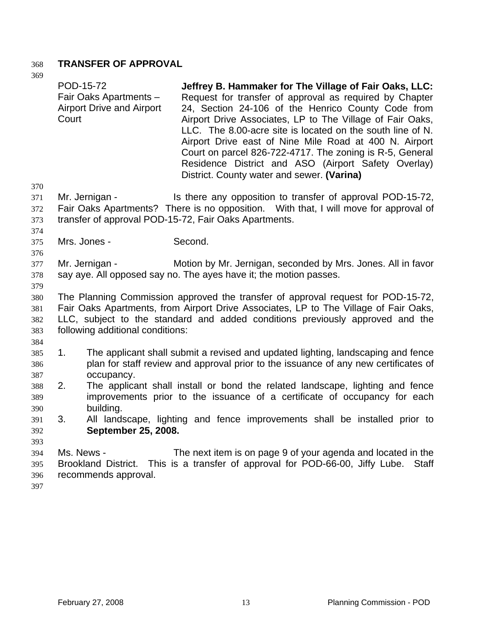| 369                             |                    |                                                            |                                                                                                                                                                                                                                                                                                                                                                                                                                                                                                                               |
|---------------------------------|--------------------|------------------------------------------------------------|-------------------------------------------------------------------------------------------------------------------------------------------------------------------------------------------------------------------------------------------------------------------------------------------------------------------------------------------------------------------------------------------------------------------------------------------------------------------------------------------------------------------------------|
| 370                             | POD-15-72<br>Court | Fair Oaks Apartments -<br><b>Airport Drive and Airport</b> | Jeffrey B. Hammaker for The Village of Fair Oaks, LLC:<br>Request for transfer of approval as required by Chapter<br>24, Section 24-106 of the Henrico County Code from<br>Airport Drive Associates, LP to The Village of Fair Oaks,<br>LLC. The 8.00-acre site is located on the south line of N.<br>Airport Drive east of Nine Mile Road at 400 N. Airport<br>Court on parcel 826-722-4717. The zoning is R-5, General<br>Residence District and ASO (Airport Safety Overlay)<br>District. County water and sewer. (Varina) |
| 371<br>372<br>373<br>374        | Mr. Jernigan -     |                                                            | Is there any opposition to transfer of approval POD-15-72,<br>Fair Oaks Apartments? There is no opposition. With that, I will move for approval of<br>transfer of approval POD-15-72, Fair Oaks Apartments.                                                                                                                                                                                                                                                                                                                   |
| 375<br>376                      | Mrs. Jones -       |                                                            | Second.                                                                                                                                                                                                                                                                                                                                                                                                                                                                                                                       |
| 377<br>378<br>379               | Mr. Jernigan -     |                                                            | Motion by Mr. Jernigan, seconded by Mrs. Jones. All in favor<br>say aye. All opposed say no. The ayes have it; the motion passes.                                                                                                                                                                                                                                                                                                                                                                                             |
| 380<br>381<br>382<br>383<br>384 |                    | following additional conditions:                           | The Planning Commission approved the transfer of approval request for POD-15-72,<br>Fair Oaks Apartments, from Airport Drive Associates, LP to The Village of Fair Oaks,<br>LLC, subject to the standard and added conditions previously approved and the                                                                                                                                                                                                                                                                     |
| 385<br>386<br>387               | 1.                 | occupancy.                                                 | The applicant shall submit a revised and updated lighting, landscaping and fence<br>plan for staff review and approval prior to the issuance of any new certificates of                                                                                                                                                                                                                                                                                                                                                       |
| 388<br>389<br>390               | 2.                 | building.                                                  | The applicant shall install or bond the related landscape, lighting and fence<br>improvements prior to the issuance of a certificate of occupancy for each                                                                                                                                                                                                                                                                                                                                                                    |
| 391<br>392<br>393               | 3.                 | September 25, 2008.                                        | All landscape, lighting and fence improvements shall be installed prior to                                                                                                                                                                                                                                                                                                                                                                                                                                                    |
| 394<br>395<br>396<br>397        | Ms. News -         | recommends approval.                                       | The next item is on page 9 of your agenda and located in the<br>Brookland District. This is a transfer of approval for POD-66-00, Jiffy Lube.<br>Staff                                                                                                                                                                                                                                                                                                                                                                        |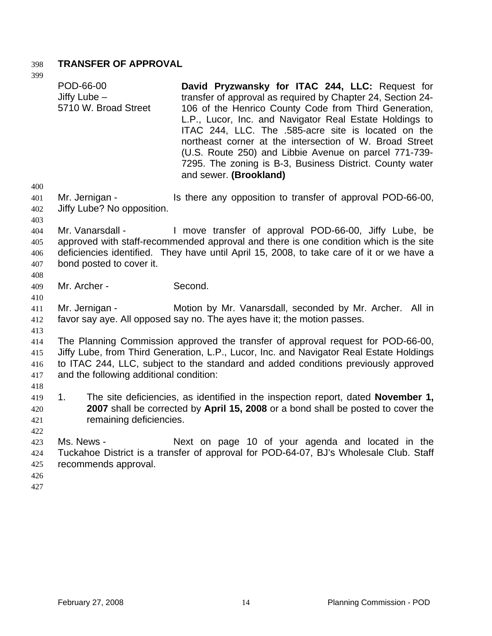| 400                             | POD-66-00<br>Jiffy Lube $-$<br>5710 W. Broad Street | David Pryzwansky for ITAC 244, LLC: Request for<br>transfer of approval as required by Chapter 24, Section 24-<br>106 of the Henrico County Code from Third Generation,<br>L.P., Lucor, Inc. and Navigator Real Estate Holdings to<br>ITAC 244, LLC. The .585-acre site is located on the<br>northeast corner at the intersection of W. Broad Street<br>(U.S. Route 250) and Libbie Avenue on parcel 771-739-<br>7295. The zoning is B-3, Business District. County water<br>and sewer. (Brookland) |
|---------------------------------|-----------------------------------------------------|-----------------------------------------------------------------------------------------------------------------------------------------------------------------------------------------------------------------------------------------------------------------------------------------------------------------------------------------------------------------------------------------------------------------------------------------------------------------------------------------------------|
| 401<br>402<br>403               | Mr. Jernigan -<br>Jiffy Lube? No opposition.        | Is there any opposition to transfer of approval POD-66-00,                                                                                                                                                                                                                                                                                                                                                                                                                                          |
| 404<br>405<br>406<br>407<br>408 | Mr. Vanarsdall -<br>bond posted to cover it.        | I move transfer of approval POD-66-00, Jiffy Lube, be<br>approved with staff-recommended approval and there is one condition which is the site<br>deficiencies identified. They have until April 15, 2008, to take care of it or we have a                                                                                                                                                                                                                                                          |
| 409<br>410                      | Mr. Archer -                                        | Second.                                                                                                                                                                                                                                                                                                                                                                                                                                                                                             |
| 411<br>412<br>413               | Mr. Jernigan -                                      | Motion by Mr. Vanarsdall, seconded by Mr. Archer. All in<br>favor say aye. All opposed say no. The ayes have it; the motion passes.                                                                                                                                                                                                                                                                                                                                                                 |
| 414<br>415<br>416<br>417<br>418 | and the following additional condition:             | The Planning Commission approved the transfer of approval request for POD-66-00,<br>Jiffy Lube, from Third Generation, L.P., Lucor, Inc. and Navigator Real Estate Holdings<br>to ITAC 244, LLC, subject to the standard and added conditions previously approved                                                                                                                                                                                                                                   |
| 419<br>420<br>421<br>422        | 1.<br>remaining deficiencies.                       | The site deficiencies, as identified in the inspection report, dated November 1,<br>2007 shall be corrected by April 15, 2008 or a bond shall be posted to cover the                                                                                                                                                                                                                                                                                                                                |
| 423<br>424<br>425<br>426<br>427 | Ms. News -<br>recommends approval.                  | Next on page 10 of your agenda and located in the<br>Tuckahoe District is a transfer of approval for POD-64-07, BJ's Wholesale Club. Staff                                                                                                                                                                                                                                                                                                                                                          |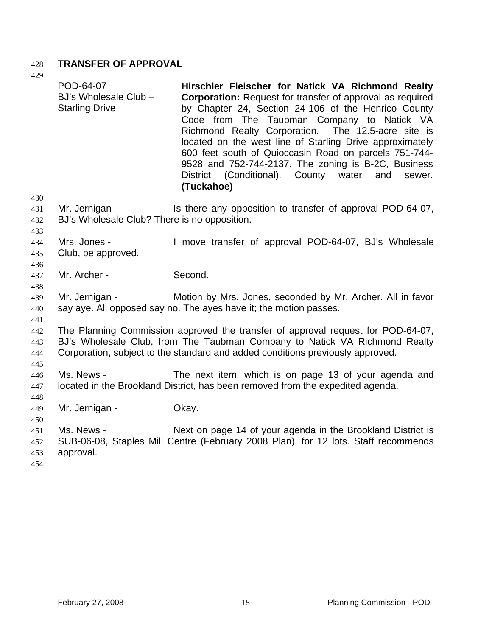429 430 431 432 433 434 435 436 437 438 439 440 441 442 443 444 445 446 447 448 449 450 451 452 453 454 POD-64-07 BJ's Wholesale Club – Starling Drive **Hirschler Fleischer for Natick VA Richmond Realty Corporation:** Request for transfer of approval as required by Chapter 24, Section 24-106 of the Henrico County Code from The Taubman Company to Natick VA Richmond Realty Corporation. The 12.5-acre site is located on the west line of Starling Drive approximately 600 feet south of Quioccasin Road on parcels 751-744- 9528 and 752-744-2137. The zoning is B-2C, Business District (Conditional). County water and sewer. **(Tuckahoe)**  Mr. Jernigan - Is there any opposition to transfer of approval POD-64-07, BJ's Wholesale Club? There is no opposition. Mrs. Jones - I move transfer of approval POD-64-07, BJ's Wholesale Club, be approved. Mr. Archer - Second. Mr. Jernigan - Motion by Mrs. Jones, seconded by Mr. Archer. All in favor say aye. All opposed say no. The ayes have it; the motion passes. The Planning Commission approved the transfer of approval request for POD-64-07, BJ's Wholesale Club, from The Taubman Company to Natick VA Richmond Realty Corporation, subject to the standard and added conditions previously approved. Ms. News - The next item, which is on page 13 of your agenda and located in the Brookland District, has been removed from the expedited agenda. Mr. Jernigan - Ckay. Ms. News - Next on page 14 of your agenda in the Brookland District is SUB-06-08, Staples Mill Centre (February 2008 Plan), for 12 lots. Staff recommends approval.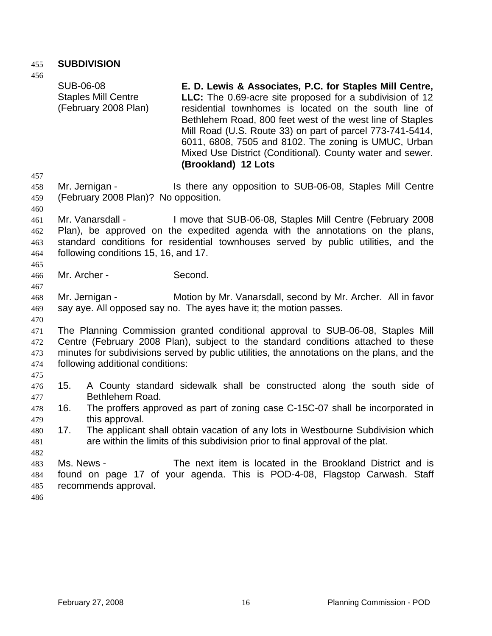## 455 **SUBDIVISION**

456

SUB-06-08 Staples Mill Centre (February 2008 Plan)

**E. D. Lewis & Associates, P.C. for Staples Mill Centre, LLC:** The 0.69-acre site proposed for a subdivision of 12 residential townhomes is located on the south line of Bethlehem Road, 800 feet west of the west line of Staples Mill Road (U.S. Route 33) on part of parcel 773-741-5414, 6011, 6808, 7505 and 8102. The zoning is UMUC, Urban Mixed Use District (Conditional). County water and sewer. **(Brookland) 12 Lots** 

457

460

465

467

458 459 Mr. Jernigan - Is there any opposition to SUB-06-08, Staples Mill Centre (February 2008 Plan)? No opposition.

- 461 462 463 464 Mr. Vanarsdall - I move that SUB-06-08, Staples Mill Centre (February 2008 Plan), be approved on the expedited agenda with the annotations on the plans, standard conditions for residential townhouses served by public utilities, and the following conditions 15, 16, and 17.
- 466 Mr. Archer - Second.
- 468 469 Mr. Jernigan - Motion by Mr. Vanarsdall, second by Mr. Archer. All in favor say aye. All opposed say no. The ayes have it; the motion passes.
- 470

471 472 473 474 The Planning Commission granted conditional approval to SUB-06-08, Staples Mill Centre (February 2008 Plan), subject to the standard conditions attached to these minutes for subdivisions served by public utilities, the annotations on the plans, and the following additional conditions:

- 475
- 477 476 15. A County standard sidewalk shall be constructed along the south side of Bethlehem Road.
- 479 478 16. The proffers approved as part of zoning case C-15C-07 shall be incorporated in this approval.
- 481 480 17. The applicant shall obtain vacation of any lots in Westbourne Subdivision which are within the limits of this subdivision prior to final approval of the plat.
- 483 484 485 Ms. News - The next item is located in the Brookland District and is found on page 17 of your agenda. This is POD-4-08, Flagstop Carwash. Staff recommends approval.

486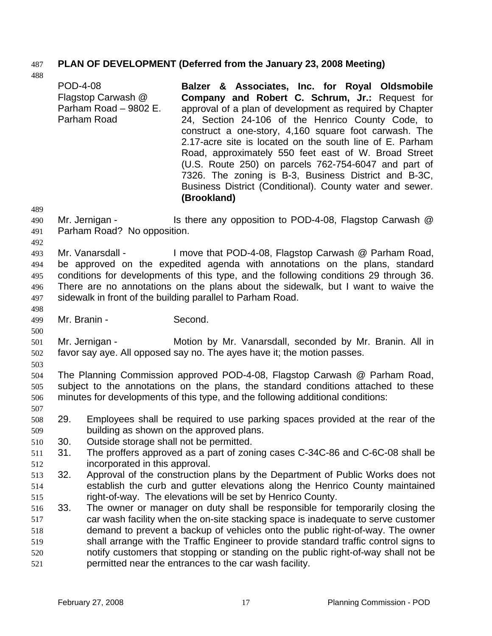# 487 **PLAN OF DEVELOPMENT (Deferred from the January 23, 2008 Meeting)**

488

509

| Balzer & Associates, Inc. for Royal Oldsmobile<br>Company and Robert C. Schrum, Jr.: Request for<br>approval of a plan of development as required by Chapter<br>24, Section 24-106 of the Henrico County Code, to<br>construct a one-story, 4,160 square foot carwash. The<br>2.17-acre site is located on the south line of E. Parham<br>Road, approximately 550 feet east of W. Broad Street<br>(U.S. Route 250) on parcels 762-754-6047 and part of<br>7326. The zoning is B-3, Business District and B-3C,<br>Business District (Conditional). County water and sewer. |
|----------------------------------------------------------------------------------------------------------------------------------------------------------------------------------------------------------------------------------------------------------------------------------------------------------------------------------------------------------------------------------------------------------------------------------------------------------------------------------------------------------------------------------------------------------------------------|
| Is there any opposition to POD-4-08, Flagstop Carwash @                                                                                                                                                                                                                                                                                                                                                                                                                                                                                                                    |
| I move that POD-4-08, Flagstop Carwash @ Parham Road,<br>be approved on the expedited agenda with annotations on the plans, standard<br>conditions for developments of this type, and the following conditions 29 through 36.<br>There are no annotations on the plans about the sidewalk, but I want to waive the                                                                                                                                                                                                                                                         |
|                                                                                                                                                                                                                                                                                                                                                                                                                                                                                                                                                                            |
| Motion by Mr. Vanarsdall, seconded by Mr. Branin. All in                                                                                                                                                                                                                                                                                                                                                                                                                                                                                                                   |
| The Planning Commission approved POD-4-08, Flagstop Carwash @ Parham Road,<br>subject to the annotations on the plans, the standard conditions attached to these                                                                                                                                                                                                                                                                                                                                                                                                           |
| Employees shall be required to use parking spaces provided at the rear of the                                                                                                                                                                                                                                                                                                                                                                                                                                                                                              |
|                                                                                                                                                                                                                                                                                                                                                                                                                                                                                                                                                                            |
| The proffers approved as a part of zoning cases C-34C-86 and C-6C-08 shall be                                                                                                                                                                                                                                                                                                                                                                                                                                                                                              |
|                                                                                                                                                                                                                                                                                                                                                                                                                                                                                                                                                                            |
| Approval of the construction plans by the Department of Public Works does not                                                                                                                                                                                                                                                                                                                                                                                                                                                                                              |
| establish the curb and gutter elevations along the Henrico County maintained                                                                                                                                                                                                                                                                                                                                                                                                                                                                                               |
|                                                                                                                                                                                                                                                                                                                                                                                                                                                                                                                                                                            |
| The owner or manager on duty shall be responsible for temporarily closing the                                                                                                                                                                                                                                                                                                                                                                                                                                                                                              |
| car wash facility when the on-site stacking space is inadequate to serve customer<br>demand to prevent a backup of vehicles onto the public right-of-way. The owner                                                                                                                                                                                                                                                                                                                                                                                                        |
| shall arrange with the Traffic Engineer to provide standard traffic control signs to                                                                                                                                                                                                                                                                                                                                                                                                                                                                                       |
| notify customers that stopping or standing on the public right-of-way shall not be                                                                                                                                                                                                                                                                                                                                                                                                                                                                                         |
|                                                                                                                                                                                                                                                                                                                                                                                                                                                                                                                                                                            |
|                                                                                                                                                                                                                                                                                                                                                                                                                                                                                                                                                                            |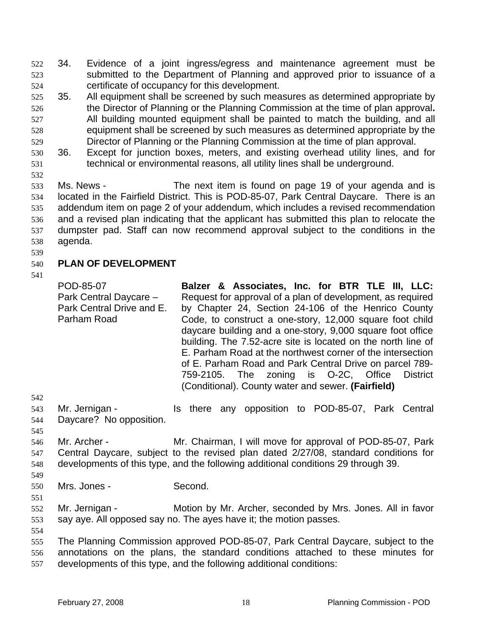34. Evidence of a joint ingress/egress and maintenance agreement must be submitted to the Department of Planning and approved prior to issuance of a certificate of occupancy for this development. 522 523 524

- 525 526 527 528 529 35. All equipment shall be screened by such measures as determined appropriate by the Director of Planning or the Planning Commission at the time of plan approval**.**  All building mounted equipment shall be painted to match the building, and all equipment shall be screened by such measures as determined appropriate by the Director of Planning or the Planning Commission at the time of plan approval.
- 530 531 36. Except for junction boxes, meters, and existing overhead utility lines, and for technical or environmental reasons, all utility lines shall be underground.
- 533 534 535 536 537 538 Ms. News - The next item is found on page 19 of your agenda and is located in the Fairfield District. This is POD-85-07, Park Central Daycare. There is an addendum item on page 2 of your addendum, which includes a revised recommendation and a revised plan indicating that the applicant has submitted this plan to relocate the dumpster pad. Staff can now recommend approval subject to the conditions in the agenda.
- 539

532

### 540 **PLAN OF DEVELOPMENT**

541

POD-85-07 Park Central Daycare – Park Central Drive and E. Parham Road

**Balzer & Associates, Inc. for BTR TLE III, LLC:**  Request for approval of a plan of development, as required by Chapter 24, Section 24-106 of the Henrico County Code, to construct a one-story, 12,000 square foot child daycare building and a one-story, 9,000 square foot office building. The 7.52-acre site is located on the north line of E. Parham Road at the northwest corner of the intersection of E. Parham Road and Park Central Drive on parcel 789- 759-2105. The zoning is O-2C, Office District (Conditional). County water and sewer. **(Fairfield)**

542

- 543 544 Mr. Jernigan - The Is there any opposition to POD-85-07, Park Central Daycare? No opposition.
- 545
- 546 547 548 Mr. Archer - **Mr. Chairman, I will move for approval of POD-85-07, Park** Central Daycare, subject to the revised plan dated 2/27/08, standard conditions for developments of this type, and the following additional conditions 29 through 39.
- 550 Mrs. Jones - Second.
- 551

549

- 
- 552 553 Mr. Jernigan - The Motion by Mr. Archer, seconded by Mrs. Jones. All in favor say aye. All opposed say no. The ayes have it; the motion passes.
- 554

555 556 557 The Planning Commission approved POD-85-07, Park Central Daycare, subject to the annotations on the plans, the standard conditions attached to these minutes for developments of this type, and the following additional conditions: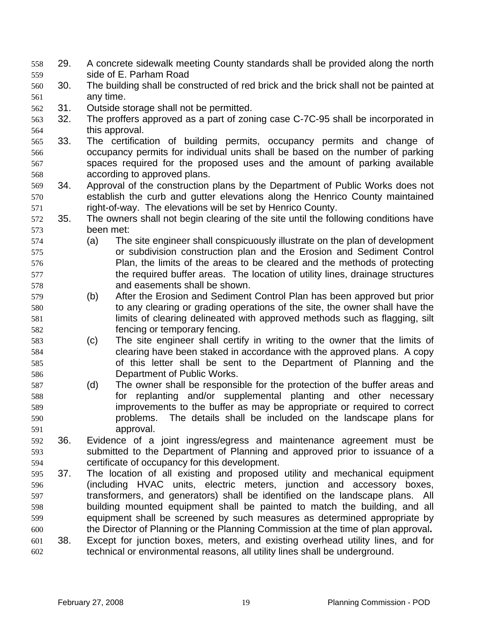- 29. A concrete sidewalk meeting County standards shall be provided along the north side of E. Parham Road 558 559
- 560 561 30. The building shall be constructed of red brick and the brick shall not be painted at any time.
- 562 31. Outside storage shall not be permitted.
- 563 564 32. The proffers approved as a part of zoning case C-7C-95 shall be incorporated in this approval.
- 565 566 567 568 33. The certification of building permits, occupancy permits and change of occupancy permits for individual units shall be based on the number of parking spaces required for the proposed uses and the amount of parking available according to approved plans.
- 569 570 571 34. Approval of the construction plans by the Department of Public Works does not establish the curb and gutter elevations along the Henrico County maintained right-of-way. The elevations will be set by Henrico County.
- 572 573 35. The owners shall not begin clearing of the site until the following conditions have been met:
- 574 575 576 577 578 (a) The site engineer shall conspicuously illustrate on the plan of development or subdivision construction plan and the Erosion and Sediment Control Plan, the limits of the areas to be cleared and the methods of protecting the required buffer areas. The location of utility lines, drainage structures and easements shall be shown.
- 579 580 581 582 (b) After the Erosion and Sediment Control Plan has been approved but prior to any clearing or grading operations of the site, the owner shall have the limits of clearing delineated with approved methods such as flagging, silt fencing or temporary fencing.
- 583 584 585 586 (c) The site engineer shall certify in writing to the owner that the limits of clearing have been staked in accordance with the approved plans. A copy of this letter shall be sent to the Department of Planning and the Department of Public Works.
- 587 588 589 590 591 (d) The owner shall be responsible for the protection of the buffer areas and for replanting and/or supplemental planting and other necessary improvements to the buffer as may be appropriate or required to correct problems. The details shall be included on the landscape plans for approval.
- 593 594 592 36. Evidence of a joint ingress/egress and maintenance agreement must be submitted to the Department of Planning and approved prior to issuance of a certificate of occupancy for this development.
- 595 596 597 598 599 600 602 37. The location of all existing and proposed utility and mechanical equipment (including HVAC units, electric meters, junction and accessory boxes, transformers, and generators) shall be identified on the landscape plans. All building mounted equipment shall be painted to match the building, and all equipment shall be screened by such measures as determined appropriate by the Director of Planning or the Planning Commission at the time of plan approval**.**  601 38. Except for junction boxes, meters, and existing overhead utility lines, and for technical or environmental reasons, all utility lines shall be underground.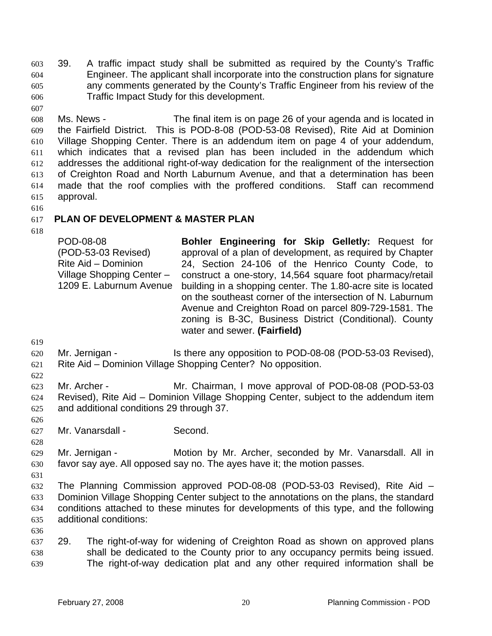39. A traffic impact study shall be submitted as required by the County's Traffic Engineer. The applicant shall incorporate into the construction plans for signature any comments generated by the County's Traffic Engineer from his review of the Traffic Impact Study for this development. 603 604 605 606

608 609 610 611 612 613 614 615 Ms. News - The final item is on page 26 of your agenda and is located in the Fairfield District. This is POD-8-08 (POD-53-08 Revised), Rite Aid at Dominion Village Shopping Center. There is an addendum item on page 4 of your addendum, which indicates that a revised plan has been included in the addendum which addresses the additional right-of-way dedication for the realignment of the intersection of Creighton Road and North Laburnum Avenue, and that a determination has been made that the roof complies with the proffered conditions. Staff can recommend approval.

616

607

### 617 **PLAN OF DEVELOPMENT & MASTER PLAN**

618

POD-08-08 (POD-53-03 Revised) Rite Aid – Dominion Village Shopping Center – 1209 E. Laburnum Avenue **Bohler Engineering for Skip Gelletly:** Request for approval of a plan of development, as required by Chapter 24, Section 24-106 of the Henrico County Code, to construct a one-story, 14,564 square foot pharmacy/retail building in a shopping center. The 1.80-acre site is located on the southeast corner of the intersection of N. Laburnum Avenue and Creighton Road on parcel 809-729-1581. The zoning is B-3C, Business District (Conditional). County water and sewer. **(Fairfield)** 

619

620 621 Mr. Jernigan - Is there any opposition to POD-08-08 (POD-53-03 Revised), Rite Aid – Dominion Village Shopping Center? No opposition.

622

626

628

631

636

623 624 625 Mr. Archer - **Mr. Chairman, I move approval of POD-08-08 (POD-53-03** Revised), Rite Aid – Dominion Village Shopping Center, subject to the addendum item and additional conditions 29 through 37.

627 Mr. Vanarsdall - Second.

629 630 Mr. Jernigan - **Motion by Mr. Archer, seconded by Mr. Vanarsdall. All in** favor say aye. All opposed say no. The ayes have it; the motion passes.

- 632 633 634 635 The Planning Commission approved POD-08-08 (POD-53-03 Revised), Rite Aid – Dominion Village Shopping Center subject to the annotations on the plans, the standard conditions attached to these minutes for developments of this type, and the following additional conditions:
- 637 638 639 29. The right-of-way for widening of Creighton Road as shown on approved plans shall be dedicated to the County prior to any occupancy permits being issued. The right-of-way dedication plat and any other required information shall be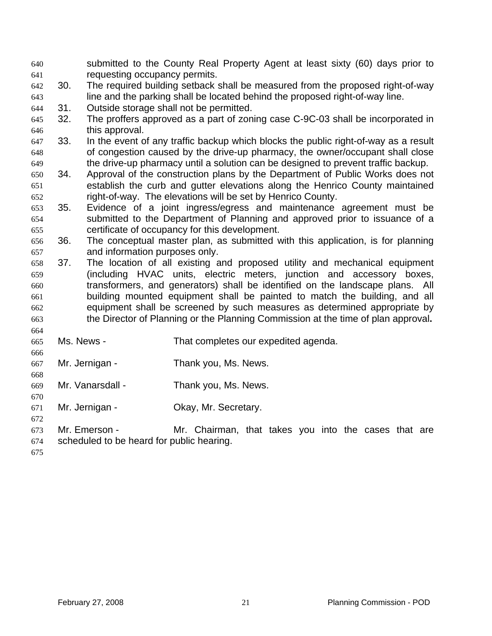submitted to the County Real Property Agent at least sixty (60) days prior to requesting occupancy permits. 640 641

- 642 643 30. The required building setback shall be measured from the proposed right-of-way line and the parking shall be located behind the proposed right-of-way line.
- 644 31. Outside storage shall not be permitted.
- 645 646 32. The proffers approved as a part of zoning case C-9C-03 shall be incorporated in this approval.
- 647 648 649 33. In the event of any traffic backup which blocks the public right-of-way as a result of congestion caused by the drive-up pharmacy, the owner/occupant shall close the drive-up pharmacy until a solution can be designed to prevent traffic backup.
- 650 651 652 34. Approval of the construction plans by the Department of Public Works does not establish the curb and gutter elevations along the Henrico County maintained right-of-way. The elevations will be set by Henrico County.
- 653 654 655 35. Evidence of a joint ingress/egress and maintenance agreement must be submitted to the Department of Planning and approved prior to issuance of a certificate of occupancy for this development.
- 656 657 36. The conceptual master plan, as submitted with this application, is for planning and information purposes only.
- 658 659 660 661 662 663 37. The location of all existing and proposed utility and mechanical equipment (including HVAC units, electric meters, junction and accessory boxes, transformers, and generators) shall be identified on the landscape plans. All building mounted equipment shall be painted to match the building, and all equipment shall be screened by such measures as determined appropriate by the Director of Planning or the Planning Commission at the time of plan approval**.**
- 665 Ms. News - That completes our expedited agenda.
- 667 Mr. Jernigan - Thank you, Ms. News.
- 669 Mr. Vanarsdall - Thank you, Ms. News.
- 671 Mr. Jernigan - Ckay, Mr. Secretary.
- 672 673 674 Mr. Emerson - Mr. Chairman, that takes you into the cases that are scheduled to be heard for public hearing.
- 675

664

666

668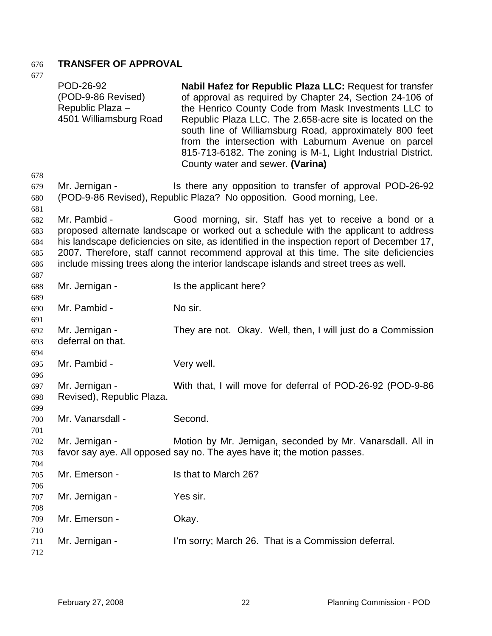| 677                                           |                                                                               |                                                                                                                                                                                                                                                                                                                                                                                                                                                                 |
|-----------------------------------------------|-------------------------------------------------------------------------------|-----------------------------------------------------------------------------------------------------------------------------------------------------------------------------------------------------------------------------------------------------------------------------------------------------------------------------------------------------------------------------------------------------------------------------------------------------------------|
| 678                                           | POD-26-92<br>(POD-9-86 Revised)<br>Republic Plaza -<br>4501 Williamsburg Road | Nabil Hafez for Republic Plaza LLC: Request for transfer<br>of approval as required by Chapter 24, Section 24-106 of<br>the Henrico County Code from Mask Investments LLC to<br>Republic Plaza LLC. The 2.658-acre site is located on the<br>south line of Williamsburg Road, approximately 800 feet<br>from the intersection with Laburnum Avenue on parcel<br>815-713-6182. The zoning is M-1, Light Industrial District.<br>County water and sewer. (Varina) |
| 679<br>680                                    | Mr. Jernigan -                                                                | Is there any opposition to transfer of approval POD-26-92<br>(POD-9-86 Revised), Republic Plaza? No opposition. Good morning, Lee.                                                                                                                                                                                                                                                                                                                              |
| 681<br>682<br>683<br>684<br>685<br>686<br>687 | Mr. Pambid -                                                                  | Good morning, sir. Staff has yet to receive a bond or a<br>proposed alternate landscape or worked out a schedule with the applicant to address<br>his landscape deficiencies on site, as identified in the inspection report of December 17,<br>2007. Therefore, staff cannot recommend approval at this time. The site deficiencies<br>include missing trees along the interior landscape islands and street trees as well.                                    |
| 688<br>689                                    | Mr. Jernigan -                                                                | Is the applicant here?                                                                                                                                                                                                                                                                                                                                                                                                                                          |
| 690<br>691                                    | Mr. Pambid -                                                                  | No sir.                                                                                                                                                                                                                                                                                                                                                                                                                                                         |
| 692<br>693<br>694                             | Mr. Jernigan -<br>deferral on that.                                           | They are not. Okay. Well, then, I will just do a Commission                                                                                                                                                                                                                                                                                                                                                                                                     |
| 695<br>696                                    | Mr. Pambid -                                                                  | Very well.                                                                                                                                                                                                                                                                                                                                                                                                                                                      |
| 697<br>698<br>699                             | Mr. Jernigan -<br>Revised), Republic Plaza.                                   | With that, I will move for deferral of POD-26-92 (POD-9-86                                                                                                                                                                                                                                                                                                                                                                                                      |
| 700<br>701                                    | Mr. Vanarsdall -                                                              | Second.                                                                                                                                                                                                                                                                                                                                                                                                                                                         |
| 702<br>703<br>704                             | Mr. Jernigan -                                                                | Motion by Mr. Jernigan, seconded by Mr. Vanarsdall. All in<br>favor say aye. All opposed say no. The ayes have it; the motion passes.                                                                                                                                                                                                                                                                                                                           |
| 705<br>706                                    | Mr. Emerson -                                                                 | Is that to March 26?                                                                                                                                                                                                                                                                                                                                                                                                                                            |
| 707<br>708                                    | Mr. Jernigan -                                                                | Yes sir.                                                                                                                                                                                                                                                                                                                                                                                                                                                        |
| 709<br>710                                    | Mr. Emerson -                                                                 | Okay.                                                                                                                                                                                                                                                                                                                                                                                                                                                           |
| 711<br>712                                    | Mr. Jernigan -                                                                | I'm sorry; March 26. That is a Commission deferral.                                                                                                                                                                                                                                                                                                                                                                                                             |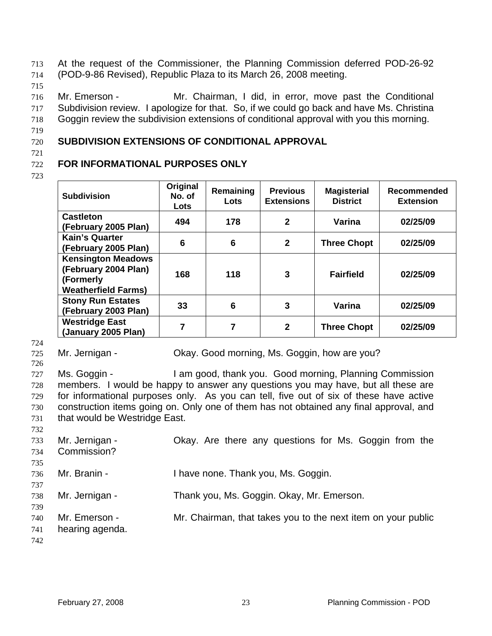At the request of the Commissioner, the Planning Commission deferred POD-26-92 (POD-9-86 Revised), Republic Plaza to its March 26, 2008 meeting. 713 714

715

716 717 718 Mr. Emerson - Mr. Chairman, I did, in error, move past the Conditional Subdivision review. I apologize for that. So, if we could go back and have Ms. Christina Goggin review the subdivision extensions of conditional approval with you this morning.

719

### 720 **SUBDIVISION EXTENSIONS OF CONDITIONAL APPROVAL**

721

### 722 **FOR INFORMATIONAL PURPOSES ONLY**

723

| <b>Subdivision</b>                                                                           | Original<br>No. of<br>Lots | Remaining<br>Lots | <b>Previous</b><br><b>Extensions</b> | <b>Magisterial</b><br><b>District</b> | Recommended<br><b>Extension</b> |
|----------------------------------------------------------------------------------------------|----------------------------|-------------------|--------------------------------------|---------------------------------------|---------------------------------|
| <b>Castleton</b><br>(February 2005 Plan)                                                     | 494                        | 178               | $\mathbf{2}$                         | Varina                                | 02/25/09                        |
| <b>Kain's Quarter</b><br>(February 2005 Plan)                                                | 6                          | 6                 | $\mathbf{2}$                         | <b>Three Chopt</b>                    | 02/25/09                        |
| <b>Kensington Meadows</b><br>(February 2004 Plan)<br>(Formerly<br><b>Weatherfield Farms)</b> | 168                        | 118               | 3                                    | <b>Fairfield</b>                      | 02/25/09                        |
| <b>Stony Run Estates</b><br>(February 2003 Plan)                                             | 33                         | 6                 | 3                                    | Varina                                | 02/25/09                        |
| <b>Westridge East</b><br>(January 2005 Plan)                                                 |                            | 7                 | $\mathbf{2}$                         | <b>Three Chopt</b>                    | 02/25/09                        |

724

725 Mr. Jernigan - Ckay. Good morning, Ms. Goggin, how are you?

Mr. Branin - Thave none. Thank you, Ms. Goggin.

Mr. Jernigan - Thank you, Ms. Goggin. Okay, Mr. Emerson.

726 727 728 729 730 731 Ms. Goggin - I am good, thank you. Good morning, Planning Commission members. I would be happy to answer any questions you may have, but all these are for informational purposes only. As you can tell, five out of six of these have active construction items going on. Only one of them has not obtained any final approval, and that would be Westridge East.

Mr. Jernigan - Ckay. Are there any questions for Ms. Goggin from the

Mr. Emerson - Mr. Chairman, that takes you to the next item on your public

732 733

hearing agenda.

Commission?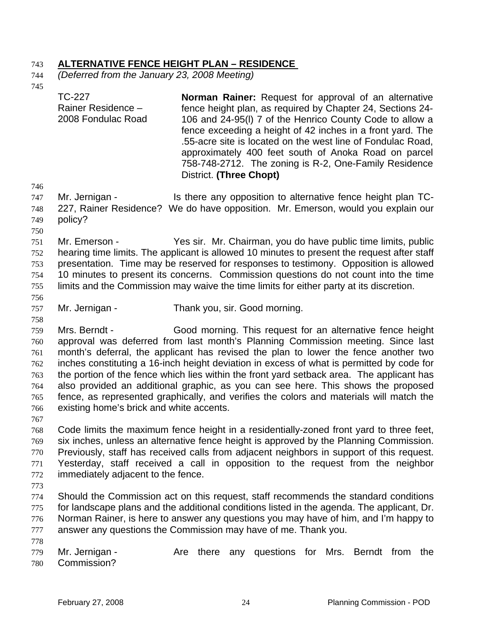# 743 **ALTERNATIVE FENCE HEIGHT PLAN – RESIDENCE**

- 744 *(Deferred from the January 23, 2008 Meeting)*
- 745

TC-227

| Rainer Residence -<br>2008 Fondulac Road                                                                                                                                                                                                                                                                                                                                                                                                                                                                                                                                                                      |     | District. (Three Chopt) | fence height plan, as required by Chapter 24, Sections 24-<br>106 and 24-95(I) 7 of the Henrico County Code to allow a<br>fence exceeding a height of 42 inches in a front yard. The<br>.55-acre site is located on the west line of Fondulac Road,<br>approximately 400 feet south of Anoka Road on parcel<br>758-748-2712. The zoning is R-2, One-Family Residence |  |  |     |
|---------------------------------------------------------------------------------------------------------------------------------------------------------------------------------------------------------------------------------------------------------------------------------------------------------------------------------------------------------------------------------------------------------------------------------------------------------------------------------------------------------------------------------------------------------------------------------------------------------------|-----|-------------------------|----------------------------------------------------------------------------------------------------------------------------------------------------------------------------------------------------------------------------------------------------------------------------------------------------------------------------------------------------------------------|--|--|-----|
| Mr. Jernigan -<br>227, Rainer Residence? We do have opposition. Mr. Emerson, would you explain our<br>policy?                                                                                                                                                                                                                                                                                                                                                                                                                                                                                                 |     |                         | Is there any opposition to alternative fence height plan TC-                                                                                                                                                                                                                                                                                                         |  |  |     |
| Mr. Emerson -<br>hearing time limits. The applicant is allowed 10 minutes to present the request after staff<br>presentation. Time may be reserved for responses to testimony. Opposition is allowed<br>10 minutes to present its concerns. Commission questions do not count into the time<br>limits and the Commission may waive the time limits for either party at its discretion.                                                                                                                                                                                                                        |     |                         | Yes sir. Mr. Chairman, you do have public time limits, public                                                                                                                                                                                                                                                                                                        |  |  |     |
| Mr. Jernigan -                                                                                                                                                                                                                                                                                                                                                                                                                                                                                                                                                                                                |     |                         | Thank you, sir. Good morning.                                                                                                                                                                                                                                                                                                                                        |  |  |     |
| Mrs. Berndt -<br>approval was deferred from last month's Planning Commission meeting. Since last<br>month's deferral, the applicant has revised the plan to lower the fence another two<br>inches constituting a 16-inch height deviation in excess of what is permitted by code for<br>the portion of the fence which lies within the front yard setback area. The applicant has<br>also provided an additional graphic, as you can see here. This shows the proposed<br>fence, as represented graphically, and verifies the colors and materials will match the<br>existing home's brick and white accents. |     |                         | Good morning. This request for an alternative fence height                                                                                                                                                                                                                                                                                                           |  |  |     |
| Code limits the maximum fence height in a residentially-zoned front yard to three feet,<br>six inches, unless an alternative fence height is approved by the Planning Commission.<br>Previously, staff has received calls from adjacent neighbors in support of this request.<br>Yesterday, staff received a call in opposition to the request from the neighbor<br>immediately adjacent to the fence.                                                                                                                                                                                                        |     |                         |                                                                                                                                                                                                                                                                                                                                                                      |  |  |     |
| Should the Commission act on this request, staff recommends the standard conditions<br>for landscape plans and the additional conditions listed in the agenda. The applicant, Dr.<br>Norman Rainer, is here to answer any questions you may have of him, and I'm happy to<br>answer any questions the Commission may have of me. Thank you.                                                                                                                                                                                                                                                                   |     |                         |                                                                                                                                                                                                                                                                                                                                                                      |  |  |     |
| Mr. Jernigan -<br>Commission?                                                                                                                                                                                                                                                                                                                                                                                                                                                                                                                                                                                 | Are |                         | there any questions for Mrs. Berndt from                                                                                                                                                                                                                                                                                                                             |  |  | the |

**Norman Rainer:** Request for approval of an alternative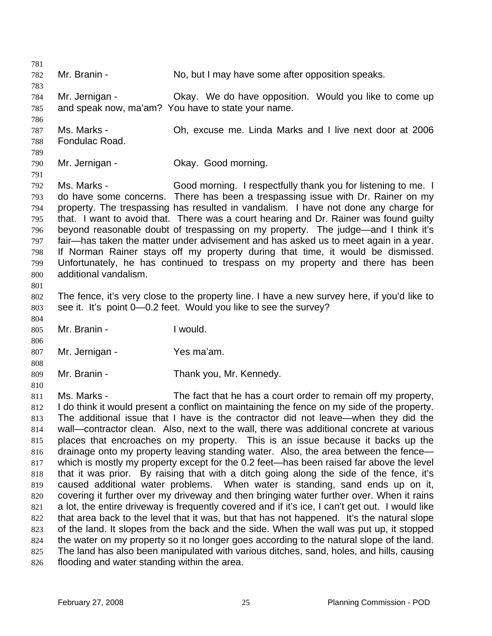781 782 783 784 785 786 787 788 789 790 791 792 793 794 795 796 797 798 799 800 801 802 803 804 805 806 807 808 809 810 811 812 813 814 815 816 817 818 819 820 821 822 823 824 825 826 Mr. Branin - No, but I may have some after opposition speaks. Mr. Jernigan - Ckay. We do have opposition. Would you like to come up and speak now, ma'am? You have to state your name. Ms. Marks - Oh, excuse me. Linda Marks and I live next door at 2006 Fondulac Road. Mr. Jernigan - Ckay. Good morning. Ms. Marks - Good morning. I respectfully thank you for listening to me. I do have some concerns. There has been a trespassing issue with Dr. Rainer on my property. The trespassing has resulted in vandalism. I have not done any charge for that. I want to avoid that. There was a court hearing and Dr. Rainer was found guilty beyond reasonable doubt of trespassing on my property. The judge—and I think it's fair—has taken the matter under advisement and has asked us to meet again in a year. If Norman Rainer stays off my property during that time, it would be dismissed. Unfortunately, he has continued to trespass on my property and there has been additional vandalism. The fence, it's very close to the property line. I have a new survey here, if you'd like to see it. It's point 0—0.2 feet. Would you like to see the survey? Mr. Branin - Twould. Mr. Jernigan - Yes ma'am. Mr. Branin - Thank you, Mr. Kennedy. Ms. Marks - The fact that he has a court order to remain off my property, I do think it would present a conflict on maintaining the fence on my side of the property. The additional issue that I have is the contractor did not leave—when they did the wall—contractor clean. Also, next to the wall, there was additional concrete at various places that encroaches on my property. This is an issue because it backs up the drainage onto my property leaving standing water. Also, the area between the fence which is mostly my property except for the 0.2 feet—has been raised far above the level that it was prior. By raising that with a ditch going along the side of the fence, it's caused additional water problems. When water is standing, sand ends up on it, covering it further over my driveway and then bringing water further over. When it rains a lot, the entire driveway is frequently covered and if it's ice, I can't get out. I would like that area back to the level that it was, but that has not happened. It's the natural slope of the land. It slopes from the back and the side. When the wall was put up, it stopped the water on my property so it no longer goes according to the natural slope of the land. The land has also been manipulated with various ditches, sand, holes, and hills, causing flooding and water standing within the area.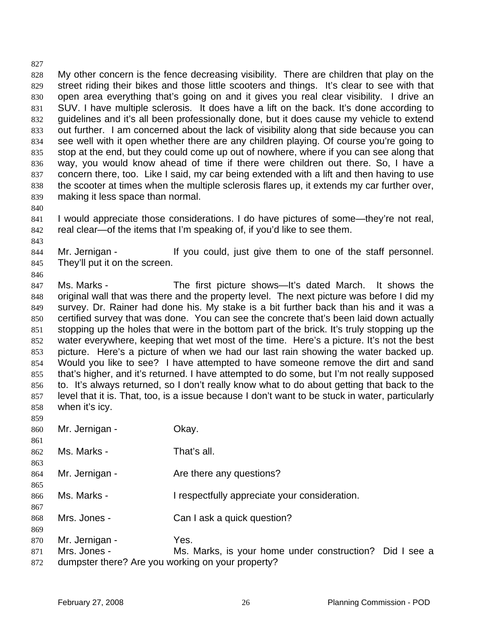827

828 829 830 831 832 833 834 835 836 837 838 839 My other concern is the fence decreasing visibility. There are children that play on the street riding their bikes and those little scooters and things. It's clear to see with that open area everything that's going on and it gives you real clear visibility. I drive an SUV. I have multiple sclerosis. It does have a lift on the back. It's done according to guidelines and it's all been professionally done, but it does cause my vehicle to extend out further. I am concerned about the lack of visibility along that side because you can see well with it open whether there are any children playing. Of course you're going to stop at the end, but they could come up out of nowhere, where if you can see along that way, you would know ahead of time if there were children out there. So, I have a concern there, too. Like I said, my car being extended with a lift and then having to use the scooter at times when the multiple sclerosis flares up, it extends my car further over, making it less space than normal.

840

841 842 I would appreciate those considerations. I do have pictures of some—they're not real, real clear—of the items that I'm speaking of, if you'd like to see them.

843

846

844 845 Mr. Jernigan - If you could, just give them to one of the staff personnel. They'll put it on the screen.

847 848 849 850 851 852 853 854 855 856 857 858 Ms. Marks - The first picture shows—It's dated March. It shows the original wall that was there and the property level. The next picture was before I did my survey. Dr. Rainer had done his. My stake is a bit further back than his and it was a certified survey that was done. You can see the concrete that's been laid down actually stopping up the holes that were in the bottom part of the brick. It's truly stopping up the water everywhere, keeping that wet most of the time. Here's a picture. It's not the best picture. Here's a picture of when we had our last rain showing the water backed up. Would you like to see? I have attempted to have someone remove the dirt and sand that's higher, and it's returned. I have attempted to do some, but I'm not really supposed to. It's always returned, so I don't really know what to do about getting that back to the level that it is. That, too, is a issue because I don't want to be stuck in water, particularly when it's icy.

859

861

863

865

867

869

860 Mr. Jernigan - Ckay.

- 862 Ms. Marks - That's all.
- 864 Mr. Jernigan - The Are there any questions?
- 866 Ms. Marks - The Spectfully appreciate your consideration.
- 868 Mrs. Jones - Can I ask a quick question?
- 870 Mr. Jernigan - Yes.
- 871 872 Mrs. Jones - Ms. Marks, is your home under construction? Did I see a dumpster there? Are you working on your property?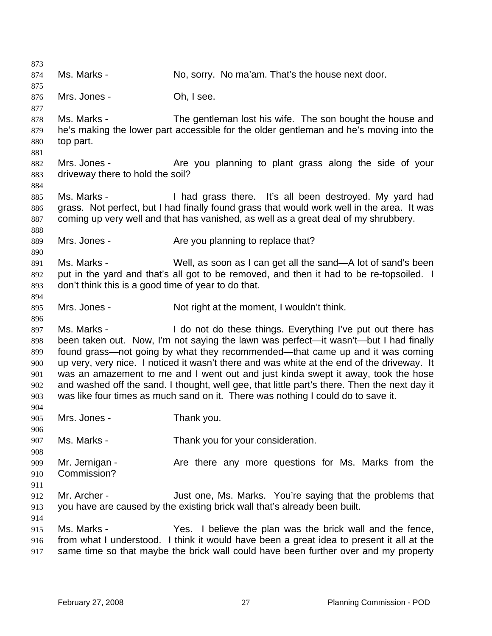873 874 875 876 877 878 879 880 881 882 883 884 885 886 887 888 889 890 891 892 893 894 895 896 897 898 899 900 901 902 903 904 905 906 907 908 909 910 911 912 913 914 915 916 917 Ms. Marks - No, sorry. No ma'am. That's the house next door. Mrs. Jones - Ch, I see. Ms. Marks - The gentleman lost his wife. The son bought the house and he's making the lower part accessible for the older gentleman and he's moving into the top part. Mrs. Jones - The State of you planning to plant grass along the side of your driveway there to hold the soil? Ms. Marks - Thad grass there. It's all been destroyed. My yard had grass. Not perfect, but I had finally found grass that would work well in the area. It was coming up very well and that has vanished, as well as a great deal of my shrubbery. Mrs. Jones - The You planning to replace that? Ms. Marks - Well, as soon as I can get all the sand—A lot of sand's been put in the yard and that's all got to be removed, and then it had to be re-topsoiled. I don't think this is a good time of year to do that. Mrs. Jones - Not right at the moment, I wouldn't think. Ms. Marks - I do not do these things. Everything I've put out there has been taken out. Now, I'm not saying the lawn was perfect—it wasn't—but I had finally found grass—not going by what they recommended—that came up and it was coming up very, very nice. I noticed it wasn't there and was white at the end of the driveway. It was an amazement to me and I went out and just kinda swept it away, took the hose and washed off the sand. I thought, well gee, that little part's there. Then the next day it was like four times as much sand on it. There was nothing I could do to save it. Mrs. Jones - Thank you. Ms. Marks - Thank you for your consideration. Mr. Jernigan - The Are there any more questions for Ms. Marks from the Commission? Mr. Archer - Just one, Ms. Marks. You're saying that the problems that you have are caused by the existing brick wall that's already been built. Ms. Marks - Yes. I believe the plan was the brick wall and the fence, from what I understood. I think it would have been a great idea to present it all at the same time so that maybe the brick wall could have been further over and my property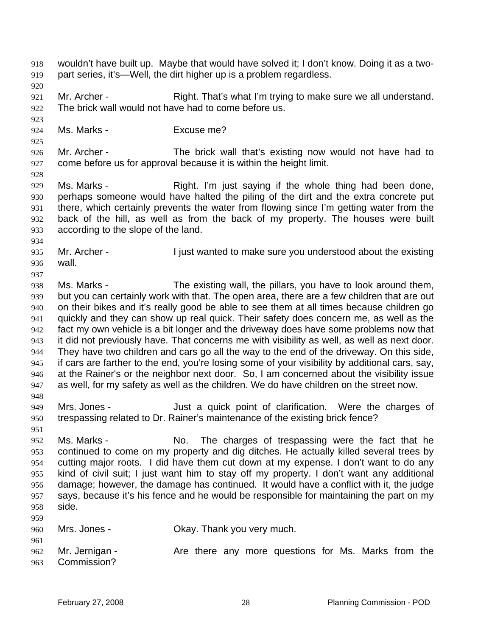wouldn't have built up. Maybe that would have solved it; I don't know. Doing it as a twopart series, it's—Well, the dirt higher up is a problem regardless. 918 919 920 921 922 923 924 925 926 927 928 929 930 931 932 933 934 935 936 937 938 939 940 941 942 943 944 945 946 947 948 949 950 951 952 953 954 955 956 957 958 959 960 961 962 963 Mr. Archer - Right. That's what I'm trying to make sure we all understand. The brick wall would not have had to come before us. Ms. Marks - Fxcuse me? Mr. Archer - The brick wall that's existing now would not have had to come before us for approval because it is within the height limit. Ms. Marks - Right. I'm just saying if the whole thing had been done, perhaps someone would have halted the piling of the dirt and the extra concrete put there, which certainly prevents the water from flowing since I'm getting water from the back of the hill, as well as from the back of my property. The houses were built according to the slope of the land. Mr. Archer - I just wanted to make sure you understood about the existing wall. Ms. Marks - The existing wall, the pillars, you have to look around them, but you can certainly work with that. The open area, there are a few children that are out on their bikes and it's really good be able to see them at all times because children go quickly and they can show up real quick. Their safety does concern me, as well as the fact my own vehicle is a bit longer and the driveway does have some problems now that it did not previously have. That concerns me with visibility as well, as well as next door. They have two children and cars go all the way to the end of the driveway. On this side, if cars are farther to the end, you're losing some of your visibility by additional cars, say, at the Rainer's or the neighbor next door. So, I am concerned about the visibility issue as well, for my safety as well as the children. We do have children on the street now. Mrs. Jones - Just a quick point of clarification. Were the charges of trespassing related to Dr. Rainer's maintenance of the existing brick fence? Ms. Marks - No. The charges of trespassing were the fact that he continued to come on my property and dig ditches. He actually killed several trees by cutting major roots. I did have them cut down at my expense. I don't want to do any kind of civil suit; I just want him to stay off my property. I don't want any additional damage; however, the damage has continued. It would have a conflict with it, the judge says, because it's his fence and he would be responsible for maintaining the part on my side. Mrs. Jones - Ckay. Thank you very much. Mr. Jernigan - The Are there any more questions for Ms. Marks from the Commission?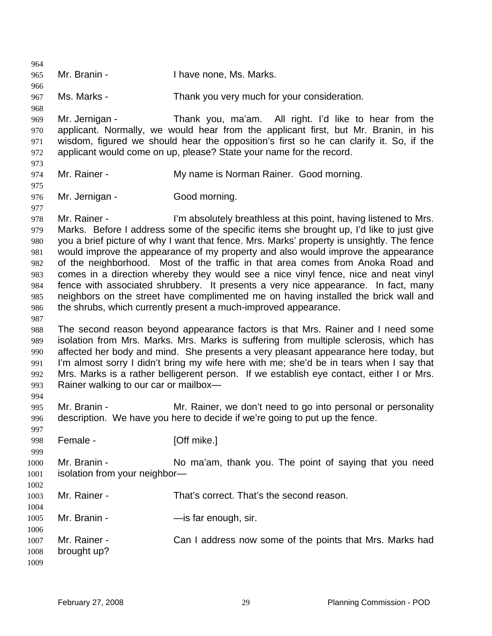| 964  |                                                                                          |                                                                                            |  |  |  |
|------|------------------------------------------------------------------------------------------|--------------------------------------------------------------------------------------------|--|--|--|
| 965  | Mr. Branin -                                                                             | I have none, Ms. Marks.                                                                    |  |  |  |
| 966  |                                                                                          |                                                                                            |  |  |  |
| 967  | Ms. Marks -                                                                              | Thank you very much for your consideration.                                                |  |  |  |
| 968  |                                                                                          |                                                                                            |  |  |  |
| 969  | Mr. Jernigan -                                                                           | Thank you, ma'am. All right. I'd like to hear from the                                     |  |  |  |
| 970  |                                                                                          | applicant. Normally, we would hear from the applicant first, but Mr. Branin, in his        |  |  |  |
| 971  |                                                                                          | wisdom, figured we should hear the opposition's first so he can clarify it. So, if the     |  |  |  |
| 972  |                                                                                          | applicant would come on up, please? State your name for the record.                        |  |  |  |
| 973  |                                                                                          |                                                                                            |  |  |  |
| 974  | Mr. Rainer -                                                                             | My name is Norman Rainer. Good morning.                                                    |  |  |  |
| 975  |                                                                                          |                                                                                            |  |  |  |
| 976  | Mr. Jernigan -                                                                           | Good morning.                                                                              |  |  |  |
| 977  |                                                                                          |                                                                                            |  |  |  |
| 978  | Mr. Rainer -                                                                             | I'm absolutely breathless at this point, having listened to Mrs.                           |  |  |  |
| 979  |                                                                                          | Marks. Before I address some of the specific items she brought up, I'd like to just give   |  |  |  |
| 980  |                                                                                          | you a brief picture of why I want that fence. Mrs. Marks' property is unsightly. The fence |  |  |  |
| 981  |                                                                                          | would improve the appearance of my property and also would improve the appearance          |  |  |  |
| 982  |                                                                                          | of the neighborhood. Most of the traffic in that area comes from Anoka Road and            |  |  |  |
| 983  |                                                                                          | comes in a direction whereby they would see a nice vinyl fence, nice and neat vinyl        |  |  |  |
| 984  |                                                                                          | fence with associated shrubbery. It presents a very nice appearance. In fact, many         |  |  |  |
| 985  |                                                                                          | neighbors on the street have complimented me on having installed the brick wall and        |  |  |  |
| 986  |                                                                                          | the shrubs, which currently present a much-improved appearance.                            |  |  |  |
| 987  |                                                                                          |                                                                                            |  |  |  |
| 988  |                                                                                          | The second reason beyond appearance factors is that Mrs. Rainer and I need some            |  |  |  |
| 989  | isolation from Mrs. Marks. Mrs. Marks is suffering from multiple sclerosis, which has    |                                                                                            |  |  |  |
| 990  |                                                                                          | affected her body and mind. She presents a very pleasant appearance here today, but        |  |  |  |
| 991  |                                                                                          | I'm almost sorry I didn't bring my wife here with me; she'd be in tears when I say that    |  |  |  |
| 992  | Mrs. Marks is a rather belligerent person. If we establish eye contact, either I or Mrs. |                                                                                            |  |  |  |
| 993  | Rainer walking to our car or mailbox-                                                    |                                                                                            |  |  |  |
| 994  |                                                                                          |                                                                                            |  |  |  |
| 995  | Mr. Branin -                                                                             | Mr. Rainer, we don't need to go into personal or personality                               |  |  |  |
| 996  |                                                                                          | description. We have you here to decide if we're going to put up the fence.                |  |  |  |
| 997  |                                                                                          |                                                                                            |  |  |  |
| 998  | Female -                                                                                 | [Off mike.]                                                                                |  |  |  |
| 999  |                                                                                          |                                                                                            |  |  |  |
| 1000 | Mr. Branin -                                                                             | No ma'am, thank you. The point of saying that you need                                     |  |  |  |
| 1001 | isolation from your neighbor-                                                            |                                                                                            |  |  |  |
| 1002 |                                                                                          |                                                                                            |  |  |  |
| 1003 | Mr. Rainer -                                                                             | That's correct. That's the second reason.                                                  |  |  |  |
| 1004 |                                                                                          |                                                                                            |  |  |  |
| 1005 | Mr. Branin -                                                                             | -is far enough, sir.                                                                       |  |  |  |
| 1006 |                                                                                          |                                                                                            |  |  |  |
| 1007 | Mr. Rainer -                                                                             | Can I address now some of the points that Mrs. Marks had                                   |  |  |  |
| 1008 | brought up?                                                                              |                                                                                            |  |  |  |
| 1009 |                                                                                          |                                                                                            |  |  |  |
|      |                                                                                          |                                                                                            |  |  |  |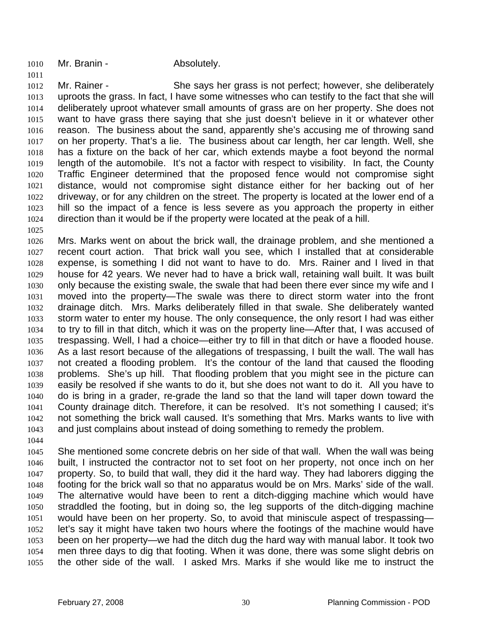1010 Mr. Branin - Absolutely.

- 1012 1013 1014 1015 1016 1017 1018 1019 1020 1021 1022 1023 1024 Mr. Rainer - She says her grass is not perfect; however, she deliberately uproots the grass. In fact, I have some witnesses who can testify to the fact that she will deliberately uproot whatever small amounts of grass are on her property. She does not want to have grass there saying that she just doesn't believe in it or whatever other reason. The business about the sand, apparently she's accusing me of throwing sand on her property. That's a lie. The business about car length, her car length. Well, she has a fixture on the back of her car, which extends maybe a foot beyond the normal length of the automobile. It's not a factor with respect to visibility. In fact, the County Traffic Engineer determined that the proposed fence would not compromise sight distance, would not compromise sight distance either for her backing out of her driveway, or for any children on the street. The property is located at the lower end of a hill so the impact of a fence is less severe as you approach the property in either direction than it would be if the property were located at the peak of a hill.
- 1025 1026 1027 1028 1029 1030 1031 1032 1033 1034 1035 1036 1037 1038 1039 1040 1041 1042 1043 1044 Mrs. Marks went on about the brick wall, the drainage problem, and she mentioned a recent court action. That brick wall you see, which I installed that at considerable expense, is something I did not want to have to do. Mrs. Rainer and I lived in that house for 42 years. We never had to have a brick wall, retaining wall built. It was built only because the existing swale, the swale that had been there ever since my wife and I moved into the property—The swale was there to direct storm water into the front drainage ditch. Mrs. Marks deliberately filled in that swale. She deliberately wanted storm water to enter my house. The only consequence, the only resort I had was either to try to fill in that ditch, which it was on the property line—After that, I was accused of trespassing. Well, I had a choice—either try to fill in that ditch or have a flooded house. As a last resort because of the allegations of trespassing, I built the wall. The wall has not created a flooding problem. It's the contour of the land that caused the flooding problems. She's up hill. That flooding problem that you might see in the picture can easily be resolved if she wants to do it, but she does not want to do it. All you have to do is bring in a grader, re-grade the land so that the land will taper down toward the County drainage ditch. Therefore, it can be resolved. It's not something I caused; it's not something the brick wall caused. It's something that Mrs. Marks wants to live with and just complains about instead of doing something to remedy the problem.
- 1045 1046 1047 1048 1049 1050 1051 1052 1053 1054 1055 She mentioned some concrete debris on her side of that wall. When the wall was being built, I instructed the contractor not to set foot on her property, not once inch on her property. So, to build that wall, they did it the hard way. They had laborers digging the footing for the brick wall so that no apparatus would be on Mrs. Marks' side of the wall. The alternative would have been to rent a ditch-digging machine which would have straddled the footing, but in doing so, the leg supports of the ditch-digging machine would have been on her property. So, to avoid that miniscule aspect of trespassing let's say it might have taken two hours where the footings of the machine would have been on her property—we had the ditch dug the hard way with manual labor. It took two men three days to dig that footing. When it was done, there was some slight debris on the other side of the wall. I asked Mrs. Marks if she would like me to instruct the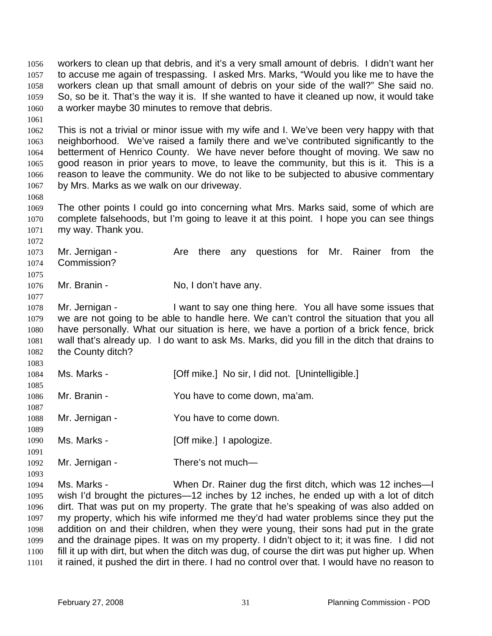workers to clean up that debris, and it's a very small amount of debris. I didn't want her to accuse me again of trespassing. I asked Mrs. Marks, "Would you like me to have the workers clean up that small amount of debris on your side of the wall?" She said no. So, so be it. That's the way it is. If she wanted to have it cleaned up now, it would take a worker maybe 30 minutes to remove that debris. 1056 1057 1058 1059 1060

1062 1063 1064 1065 1066 1067 This is not a trivial or minor issue with my wife and I. We've been very happy with that neighborhood. We've raised a family there and we've contributed significantly to the betterment of Henrico County. We have never before thought of moving. We saw no good reason in prior years to move, to leave the community, but this is it. This is a reason to leave the community. We do not like to be subjected to abusive commentary by Mrs. Marks as we walk on our driveway.

1069 1070 1071 The other points I could go into concerning what Mrs. Marks said, some of which are complete falsehoods, but I'm going to leave it at this point. I hope you can see things my way. Thank you.

1073 1074 1075 Mr. Jernigan - The Are there any questions for Mr. Rainer from the Commission?

1076 1077 Mr. Branin - No, I don't have any.

1061

1068

1072

1083

1093

1078 1079 1080 1081 1082 Mr. Jernigan - I want to say one thing here. You all have some issues that we are not going to be able to handle here. We can't control the situation that you all have personally. What our situation is here, we have a portion of a brick fence, brick wall that's already up. I do want to ask Ms. Marks, did you fill in the ditch that drains to the County ditch?

- 1084 1085 1086 1087 Ms. Marks - [Off mike.] No sir, I did not. [Unintelligible.] Mr. Branin - You have to come down, ma'am.
- 1088 1089 Mr. Jernigan - You have to come down.
- 1090 1091 Ms. Marks - **[Off mike.]** I apologize.
- 1092 Mr. Jernigan - There's not much—

1094 1095 1096 1097 1098 1099 1100 1101 Ms. Marks - When Dr. Rainer dug the first ditch, which was 12 inches—I wish I'd brought the pictures—12 inches by 12 inches, he ended up with a lot of ditch dirt. That was put on my property. The grate that he's speaking of was also added on my property, which his wife informed me they'd had water problems since they put the addition on and their children, when they were young, their sons had put in the grate and the drainage pipes. It was on my property. I didn't object to it; it was fine. I did not fill it up with dirt, but when the ditch was dug, of course the dirt was put higher up. When it rained, it pushed the dirt in there. I had no control over that. I would have no reason to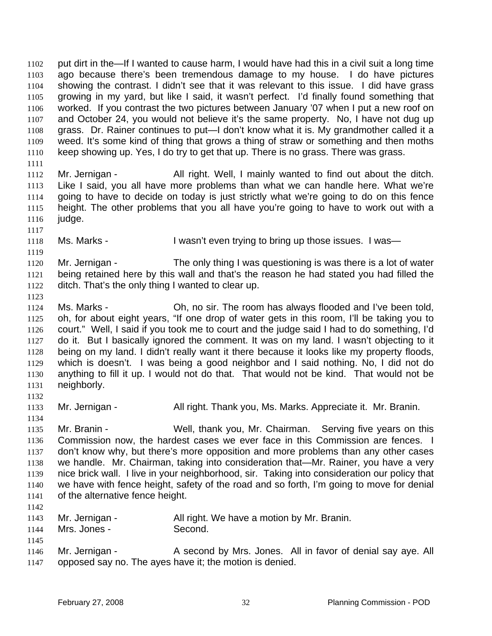put dirt in the—If I wanted to cause harm, I would have had this in a civil suit a long time ago because there's been tremendous damage to my house. I do have pictures showing the contrast. I didn't see that it was relevant to this issue. I did have grass growing in my yard, but like I said, it wasn't perfect. I'd finally found something that worked. If you contrast the two pictures between January '07 when I put a new roof on and October 24, you would not believe it's the same property. No, I have not dug up grass. Dr. Rainer continues to put—I don't know what it is. My grandmother called it a weed. It's some kind of thing that grows a thing of straw or something and then moths keep showing up. Yes, I do try to get that up. There is no grass. There was grass. 1102 1103 1104 1105 1106 1107 1108 1109 1110 1111 1112 Mr. Jernigan - All right. Well, I mainly wanted to find out about the ditch.

- 1113 1114 1115 1116 Like I said, you all have more problems than what we can handle here. What we're going to have to decide on today is just strictly what we're going to do on this fence height. The other problems that you all have you're going to have to work out with a judge.
- 1118 Ms. Marks - The Masn't even trying to bring up those issues. I was—
- 1119 1120 1121 1122 Mr. Jernigan - The only thing I was questioning is was there is a lot of water being retained here by this wall and that's the reason he had stated you had filled the ditch. That's the only thing I wanted to clear up.
- 1123

1117

1124 1125 1126 1127 1128 1129 1130 1131 1132 Ms. Marks - Oh, no sir. The room has always flooded and I've been told, oh, for about eight years, "If one drop of water gets in this room, I'll be taking you to court." Well, I said if you took me to court and the judge said I had to do something, I'd do it. But I basically ignored the comment. It was on my land. I wasn't objecting to it being on my land. I didn't really want it there because it looks like my property floods, which is doesn't. I was being a good neighbor and I said nothing. No, I did not do anything to fill it up. I would not do that. That would not be kind. That would not be neighborly.

- 1133 Mr. Jernigan - All right. Thank you, Ms. Marks. Appreciate it. Mr. Branin.
- 1134

1135 1136 1137 1138 1139 1140 1141 Mr. Branin - Well, thank you, Mr. Chairman. Serving five years on this Commission now, the hardest cases we ever face in this Commission are fences. I don't know why, but there's more opposition and more problems than any other cases we handle. Mr. Chairman, taking into consideration that—Mr. Rainer, you have a very nice brick wall. I live in your neighborhood, sir. Taking into consideration our policy that we have with fence height, safety of the road and so forth, I'm going to move for denial of the alternative fence height.

1142

| 1143 | Mr. Jernigan - | All right. We have a motion by Mr. Branin.                  |
|------|----------------|-------------------------------------------------------------|
| 1144 | Mrs. Jones -   | Second.                                                     |
| 1145 |                |                                                             |
| 1146 | Mr. Jernigan - | A second by Mrs. Jones. All in favor of denial say aye. All |

1147 opposed say no. The ayes have it; the motion is denied.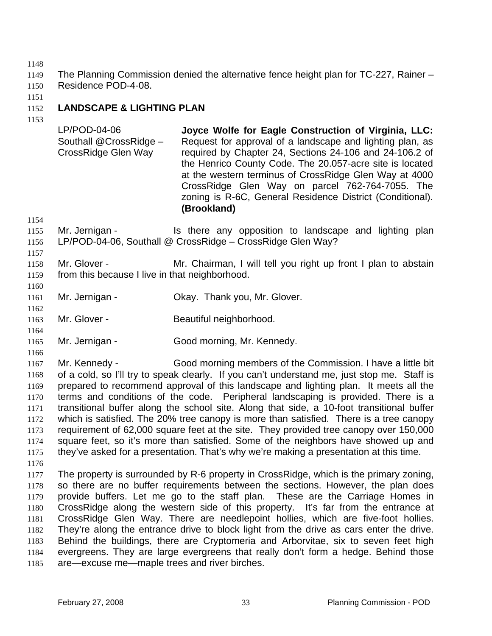1148

1149 1150 The Planning Commission denied the alternative fence height plan for TC-227, Rainer – Residence POD-4-08.

1151

### 1152 **LANDSCAPE & LIGHTING PLAN**

1153

LP/POD-04-06 Southall @CrossRidge – CrossRidge Glen Way **Joyce Wolfe for Eagle Construction of Virginia, LLC:**  Request for approval of a landscape and lighting plan, as required by Chapter 24, Sections 24-106 and 24-106.2 of the Henrico County Code. The 20.057-acre site is located at the western terminus of CrossRidge Glen Way at 4000 CrossRidge Glen Way on parcel 762-764-7055. The zoning is R-6C, General Residence District (Conditional). **(Brookland)** 

1154

1155 1156 Mr. Jernigan - Is there any opposition to landscape and lighting plan LP/POD-04-06, Southall @ CrossRidge – CrossRidge Glen Way?

1157

1160

1162

1164

1166

1158 1159 Mr. Glover - The Mr. Chairman, I will tell you right up front I plan to abstain from this because I live in that neighborhood.

- 1161 Mr. Jernigan - **Okay. Thank you, Mr. Glover.**
- 1163 Mr. Glover - **Beautiful neighborhood.**
- 1165 Mr. Jernigan - Good morning, Mr. Kennedy.

1167 1168 1169 1170 1171 1172 1173 1174 1175 1176 Mr. Kennedy - Good morning members of the Commission. I have a little bit of a cold, so I'll try to speak clearly. If you can't understand me, just stop me. Staff is prepared to recommend approval of this landscape and lighting plan. It meets all the terms and conditions of the code. Peripheral landscaping is provided. There is a transitional buffer along the school site. Along that side, a 10-foot transitional buffer which is satisfied. The 20% tree canopy is more than satisfied. There is a tree canopy requirement of 62,000 square feet at the site. They provided tree canopy over 150,000 square feet, so it's more than satisfied. Some of the neighbors have showed up and they've asked for a presentation. That's why we're making a presentation at this time.

1177 1178 1179 1180 1181 1182 1183 1184 1185 The property is surrounded by R-6 property in CrossRidge, which is the primary zoning, so there are no buffer requirements between the sections. However, the plan does provide buffers. Let me go to the staff plan. These are the Carriage Homes in CrossRidge along the western side of this property. It's far from the entrance at CrossRidge Glen Way. There are needlepoint hollies, which are five-foot hollies. They're along the entrance drive to block light from the drive as cars enter the drive. Behind the buildings, there are Cryptomeria and Arborvitae, six to seven feet high evergreens. They are large evergreens that really don't form a hedge. Behind those are—excuse me—maple trees and river birches.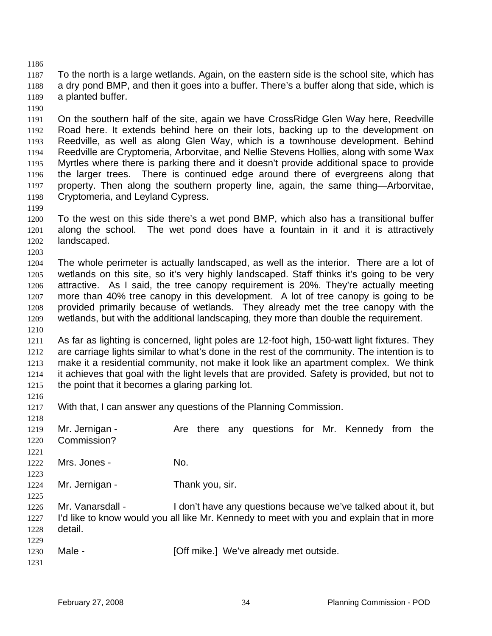1186

1187 1188 1189 To the north is a large wetlands. Again, on the eastern side is the school site, which has a dry pond BMP, and then it goes into a buffer. There's a buffer along that side, which is a planted buffer.

1190

1191 1192 1193 1194 1195 1196 1197 1198 On the southern half of the site, again we have CrossRidge Glen Way here, Reedville Road here. It extends behind here on their lots, backing up to the development on Reedville, as well as along Glen Way, which is a townhouse development. Behind Reedville are Cryptomeria, Arborvitae, and Nellie Stevens Hollies, along with some Wax Myrtles where there is parking there and it doesn't provide additional space to provide the larger trees. There is continued edge around there of evergreens along that property. Then along the southern property line, again, the same thing—Arborvitae, Cryptomeria, and Leyland Cypress.

1199

1200 1201 1202 To the west on this side there's a wet pond BMP, which also has a transitional buffer along the school. The wet pond does have a fountain in it and it is attractively landscaped.

1203

1216

1204 1205 1206 1207 1208 1209 1210 The whole perimeter is actually landscaped, as well as the interior. There are a lot of wetlands on this site, so it's very highly landscaped. Staff thinks it's going to be very attractive. As I said, the tree canopy requirement is 20%. They're actually meeting more than 40% tree canopy in this development. A lot of tree canopy is going to be provided primarily because of wetlands. They already met the tree canopy with the wetlands, but with the additional landscaping, they more than double the requirement.

1211 1212 1213 1214 1215 As far as lighting is concerned, light poles are 12-foot high, 150-watt light fixtures. They are carriage lights similar to what's done in the rest of the community. The intention is to make it a residential community, not make it look like an apartment complex. We think it achieves that goal with the light levels that are provided. Safety is provided, but not to the point that it becomes a glaring parking lot.

1217 With that, I can answer any questions of the Planning Commission.

1218 1219 1220 1221 1222 1223 1224 1225 1226 1227 1228 1229 1230 1231 Mr. Jernigan - The Are there any questions for Mr. Kennedy from the Commission? Mrs. Jones - No. Mr. Jernigan - Thank you, sir. Mr. Vanarsdall - I don't have any questions because we've talked about it, but I'd like to know would you all like Mr. Kennedy to meet with you and explain that in more detail. Male - **[Off mike.]** We've already met outside.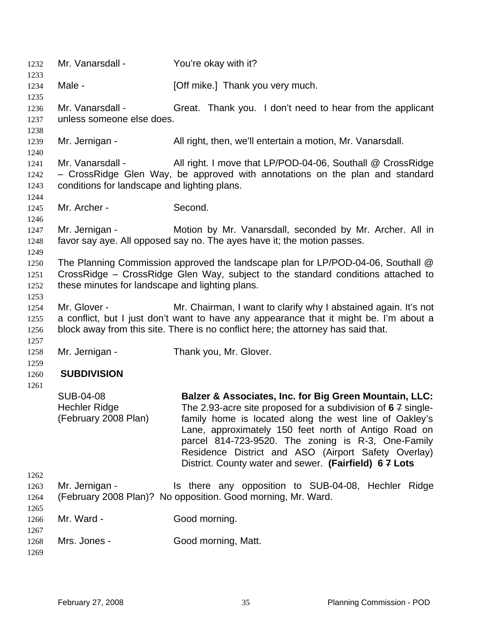1232 Mr. Vanarsdall - You're okay with it? 1233 1234 1235 1236 1237 1238 1239 1240 1241 1242 1243 1244 1245 1246 1247 1248 1249 1250 1251 1252 1253 1254 1255 1256 1257 1258 1259 1260 1261 Male - **[Off mike.]** Thank you very much. Mr. Vanarsdall - Great. Thank you. I don't need to hear from the applicant unless someone else does. Mr. Jernigan - All right, then, we'll entertain a motion, Mr. Vanarsdall. Mr. Vanarsdall - All right. I move that LP/POD-04-06, Southall @ CrossRidge – CrossRidge Glen Way, be approved with annotations on the plan and standard conditions for landscape and lighting plans. Mr. Archer - Second. Mr. Jernigan - **Motion by Mr. Vanarsdall, seconded by Mr. Archer. All in** favor say aye. All opposed say no. The ayes have it; the motion passes. The Planning Commission approved the landscape plan for LP/POD-04-06, Southall @ CrossRidge – CrossRidge Glen Way, subject to the standard conditions attached to these minutes for landscape and lighting plans. Mr. Glover - Mr. Chairman, I want to clarify why I abstained again. It's not a conflict, but I just don't want to have any appearance that it might be. I'm about a block away from this site. There is no conflict here; the attorney has said that. Mr. Jernigan - Thank you, Mr. Glover.  **SUBDIVISION**  SUB-04-08 Hechler Ridge (February 2008 Plan) **Balzer & Associates, Inc. for Big Green Mountain, LLC:**  The 2.93-acre site proposed for a subdivision of **6** 7 singlefamily home is located along the west line of Oakley's Lane, approximately 150 feet north of Antigo Road on parcel 814-723-9520. The zoning is R-3, One-Family Residence District and ASO (Airport Safety Overlay) District. County water and sewer. **(Fairfield) 6 7 Lots**  1262 1263 1264 1265 1266 1267 1268 1269 Mr. Jernigan - Is there any opposition to SUB-04-08, Hechler Ridge (February 2008 Plan)? No opposition. Good morning, Mr. Ward. Mr. Ward - Good morning. Mrs. Jones - Good morning, Matt.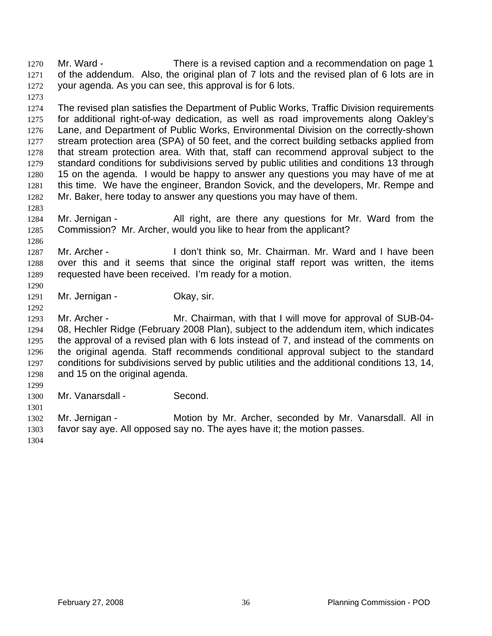Mr. Ward - There is a revised caption and a recommendation on page 1 of the addendum. Also, the original plan of 7 lots and the revised plan of 6 lots are in your agenda. As you can see, this approval is for 6 lots. 1270 1271 1272

1273

1283

1286

1290

1292

1274 1275 1276 1277 1278 1279 1280 1281 1282 The revised plan satisfies the Department of Public Works, Traffic Division requirements for additional right-of-way dedication, as well as road improvements along Oakley's Lane, and Department of Public Works, Environmental Division on the correctly-shown stream protection area (SPA) of 50 feet, and the correct building setbacks applied from that stream protection area. With that, staff can recommend approval subject to the standard conditions for subdivisions served by public utilities and conditions 13 through 15 on the agenda. I would be happy to answer any questions you may have of me at this time. We have the engineer, Brandon Sovick, and the developers, Mr. Rempe and Mr. Baker, here today to answer any questions you may have of them.

1284 1285 Mr. Jernigan - All right, are there any questions for Mr. Ward from the Commission? Mr. Archer, would you like to hear from the applicant?

1287 1288 1289 Mr. Archer - I don't think so, Mr. Chairman. Mr. Ward and I have been over this and it seems that since the original staff report was written, the items requested have been received. I'm ready for a motion.

1291 Mr. Jernigan - Ckay, sir.

1293 1294 1295 1296 1297 1298 Mr. Archer - **Mr. Chairman, with that I will move for approval of SUB-04-**08, Hechler Ridge (February 2008 Plan), subject to the addendum item, which indicates the approval of a revised plan with 6 lots instead of 7, and instead of the comments on the original agenda. Staff recommends conditional approval subject to the standard conditions for subdivisions served by public utilities and the additional conditions 13, 14, and 15 on the original agenda.

1299

1301

1300 Mr. Vanarsdall - Second.

1302 1303 Mr. Jernigan - **Motion by Mr. Archer, seconded by Mr. Vanarsdall. All in** favor say aye. All opposed say no. The ayes have it; the motion passes.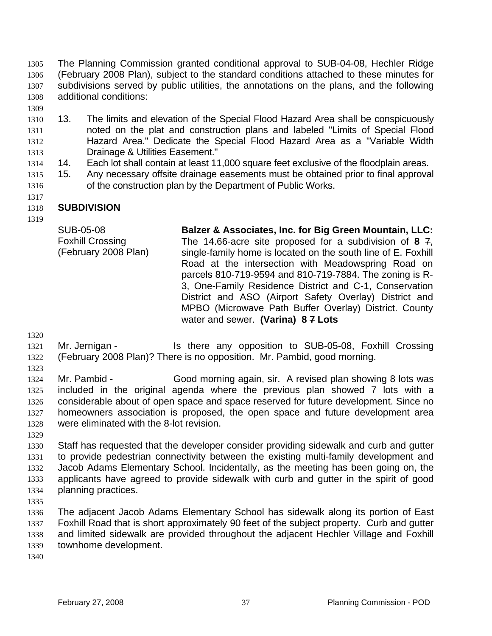The Planning Commission granted conditional approval to SUB-04-08, Hechler Ridge (February 2008 Plan), subject to the standard conditions attached to these minutes for subdivisions served by public utilities, the annotations on the plans, and the following additional conditions: 1305 1306 1307 1308

- 1309
- 1310 1311 1312 1313 13. The limits and elevation of the Special Flood Hazard Area shall be conspicuously noted on the plat and construction plans and labeled "Limits of Special Flood Hazard Area." Dedicate the Special Flood Hazard Area as a "Variable Width Drainage & Utilities Easement."
- 1314 14. Each lot shall contain at least 11,000 square feet exclusive of the floodplain areas.
- 1315 1316 15. Any necessary offsite drainage easements must be obtained prior to final approval of the construction plan by the Department of Public Works.

### 1318 **SUBDIVISION**

1319

1317

SUB-05-08 Foxhill Crossing (February 2008 Plan) **Balzer & Associates, Inc. for Big Green Mountain, LLC:**  The 14.66-acre site proposed for a subdivision of **8** 7, single-family home is located on the south line of E. Foxhill Road at the intersection with Meadowspring Road on parcels 810-719-9594 and 810-719-7884. The zoning is R-3, One-Family Residence District and C-1, Conservation District and ASO (Airport Safety Overlay) District and MPBO (Microwave Path Buffer Overlay) District. County water and sewer. **(Varina) 8 7 Lots** 

1320

1321 1322 1323 Mr. Jernigan - Is there any opposition to SUB-05-08, Foxhill Crossing (February 2008 Plan)? There is no opposition. Mr. Pambid, good morning.

1324 1325 1326 1327 1328 Mr. Pambid - Good morning again, sir. A revised plan showing 8 lots was included in the original agenda where the previous plan showed 7 lots with a considerable about of open space and space reserved for future development. Since no homeowners association is proposed, the open space and future development area were eliminated with the 8-lot revision.

1329

1330 1331 1332 1333 1334 Staff has requested that the developer consider providing sidewalk and curb and gutter to provide pedestrian connectivity between the existing multi-family development and Jacob Adams Elementary School. Incidentally, as the meeting has been going on, the applicants have agreed to provide sidewalk with curb and gutter in the spirit of good planning practices.

1335

1336 1337 1338 1339 The adjacent Jacob Adams Elementary School has sidewalk along its portion of East Foxhill Road that is short approximately 90 feet of the subject property. Curb and gutter and limited sidewalk are provided throughout the adjacent Hechler Village and Foxhill townhome development.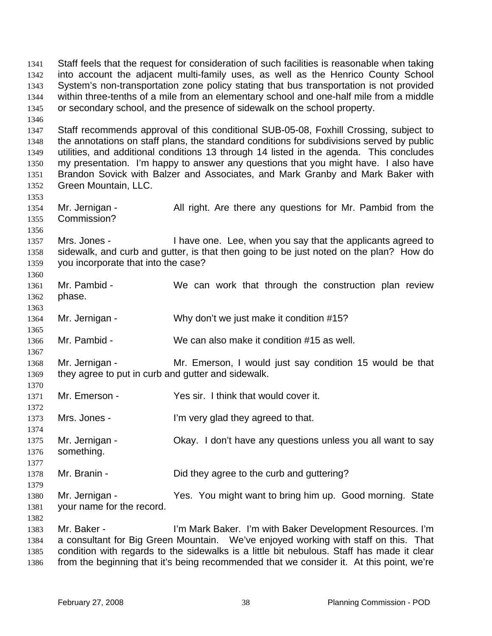Staff feels that the request for consideration of such facilities is reasonable when taking into account the adjacent multi-family uses, as well as the Henrico County School System's non-transportation zone policy stating that bus transportation is not provided within three-tenths of a mile from an elementary school and one-half mile from a middle or secondary school, and the presence of sidewalk on the school property. 1341 1342 1343 1344 1345 1346 1347 1348 1349 1350 1351 1352 1353 1354 1355 1356 1357 1358 1359 1360 1361 1362 1363 1364 1365 1366 1367 1368 1369 1370 1371 1372 1373 1374 1375 1376 1377 1378 1379 1380 1381 1382 1383 1384 1385 Staff recommends approval of this conditional SUB-05-08, Foxhill Crossing, subject to the annotations on staff plans, the standard conditions for subdivisions served by public utilities, and additional conditions 13 through 14 listed in the agenda. This concludes my presentation. I'm happy to answer any questions that you might have. I also have Brandon Sovick with Balzer and Associates, and Mark Granby and Mark Baker with Green Mountain, LLC. Mr. Jernigan - All right. Are there any questions for Mr. Pambid from the Commission? Mrs. Jones - I have one. Lee, when you say that the applicants agreed to sidewalk, and curb and gutter, is that then going to be just noted on the plan? How do you incorporate that into the case? Mr. Pambid - We can work that through the construction plan review phase. Mr. Jernigan - Why don't we just make it condition #15? Mr. Pambid - We can also make it condition #15 as well. Mr. Jernigan - Mr. Emerson, I would just say condition 15 would be that they agree to put in curb and gutter and sidewalk. Mr. Emerson - Yes sir. I think that would cover it. Mrs. Jones - I'm very glad they agreed to that. Mr. Jernigan - Ckay. I don't have any questions unless you all want to say something. Mr. Branin - Did they agree to the curb and guttering? Mr. Jernigan - Yes. You might want to bring him up. Good morning. State your name for the record. Mr. Baker - **I'm Mark Baker.** I'm with Baker Development Resources. I'm a consultant for Big Green Mountain. We've enjoyed working with staff on this. That condition with regards to the sidewalks is a little bit nebulous. Staff has made it clear

1386 from the beginning that it's being recommended that we consider it. At this point, we're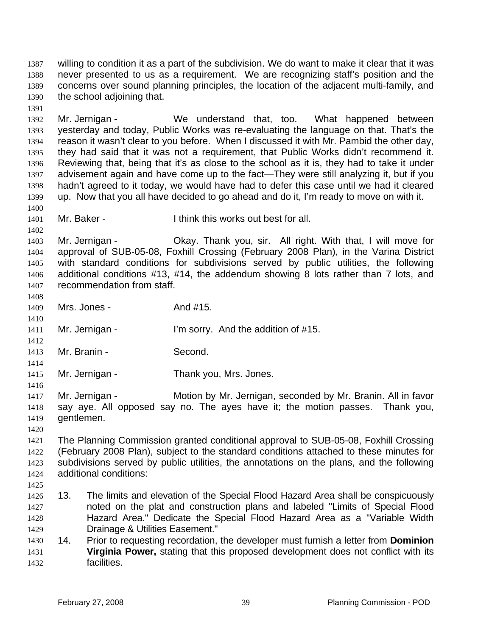willing to condition it as a part of the subdivision. We do want to make it clear that it was never presented to us as a requirement. We are recognizing staff's position and the concerns over sound planning principles, the location of the adjacent multi-family, and the school adjoining that. 1387 1388 1389 1390

1392 1393 1394 1395 1396 1397 1398 1399 1400 Mr. Jernigan - We understand that, too. What happened between yesterday and today, Public Works was re-evaluating the language on that. That's the reason it wasn't clear to you before. When I discussed it with Mr. Pambid the other day, they had said that it was not a requirement, that Public Works didn't recommend it. Reviewing that, being that it's as close to the school as it is, they had to take it under advisement again and have come up to the fact—They were still analyzing it, but if you hadn't agreed to it today, we would have had to defer this case until we had it cleared up. Now that you all have decided to go ahead and do it, I'm ready to move on with it.

1401 Mr. Baker - Think this works out best for all.

1403 1404 1405 1406 1407 Mr. Jernigan - Okay. Thank you, sir. All right. With that, I will move for approval of SUB-05-08, Foxhill Crossing (February 2008 Plan), in the Varina District with standard conditions for subdivisions served by public utilities, the following additional conditions #13, #14, the addendum showing 8 lots rather than 7 lots, and recommendation from staff.

1409 Mrs. Jones - And #15.

1411 Mr. Jernigan - I'm sorry. And the addition of #15.

- 1413 Mr. Branin - Second.
- 1415 Mr. Jernigan - Thank you, Mrs. Jones.
- 1417 1418 1419 Mr. Jernigan - Motion by Mr. Jernigan, seconded by Mr. Branin. All in favor say aye. All opposed say no. The ayes have it; the motion passes. Thank you, gentlemen.
- 1421 1422 1423 1424 The Planning Commission granted conditional approval to SUB-05-08, Foxhill Crossing (February 2008 Plan), subject to the standard conditions attached to these minutes for subdivisions served by public utilities, the annotations on the plans, and the following additional conditions:
- 1425

1391

1402

1408

1410

1412

1414

1416

- 1426 1427 1428 1429 13. The limits and elevation of the Special Flood Hazard Area shall be conspicuously noted on the plat and construction plans and labeled "Limits of Special Flood Hazard Area." Dedicate the Special Flood Hazard Area as a "Variable Width Drainage & Utilities Easement."
- 1430 1431 1432 14. Prior to requesting recordation, the developer must furnish a letter from **Dominion Virginia Power,** stating that this proposed development does not conflict with its facilities.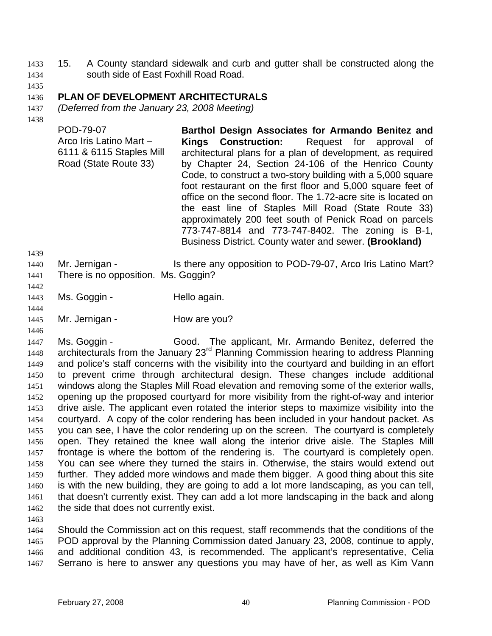15. A County standard sidewalk and curb and gutter shall be constructed along the south side of East Foxhill Road Road. 1433 1434

1435

### 1436 **PLAN OF DEVELOPMENT ARCHITECTURALS**

- 1437 *(Deferred from the January 23, 2008 Meeting)*
- 1438

POD-79-07 Arco Iris Latino Mart – 6111 & 6115 Staples Mill Road (State Route 33) **Barthol Design Associates for Armando Benitez and Kings Construction:** Request for approval of architectural plans for a plan of development, as required by Chapter 24, Section 24-106 of the Henrico County Code, to construct a two-story building with a 5,000 square foot restaurant on the first floor and 5,000 square feet of office on the second floor. The 1.72-acre site is located on the east line of Staples Mill Road (State Route 33) approximately 200 feet south of Penick Road on parcels 773-747-8814 and 773-747-8402. The zoning is B-1, Business District. County water and sewer. **(Brookland)** 

- 1439
- 1440 1441 Mr. Jernigan - Is there any opposition to POD-79-07, Arco Iris Latino Mart? There is no opposition. Ms. Goggin?
- 1442

1444

1446

1443 Ms. Goggin - Thello again.

- 1445 Mr. Jernigan - How are you?
- 1447 1448 1449 1450 1451 1452 1453 1454 1455 1456 1457 1458 1459 1460 1461 1462 Ms. Goggin - Good. The applicant, Mr. Armando Benitez, deferred the architecturals from the January 23<sup>rd</sup> Planning Commission hearing to address Planning and police's staff concerns with the visibility into the courtyard and building in an effort to prevent crime through architectural design. These changes include additional windows along the Staples Mill Road elevation and removing some of the exterior walls, opening up the proposed courtyard for more visibility from the right-of-way and interior drive aisle. The applicant even rotated the interior steps to maximize visibility into the courtyard. A copy of the color rendering has been included in your handout packet. As you can see, I have the color rendering up on the screen. The courtyard is completely open. They retained the knee wall along the interior drive aisle. The Staples Mill frontage is where the bottom of the rendering is. The courtyard is completely open. You can see where they turned the stairs in. Otherwise, the stairs would extend out further. They added more windows and made them bigger. A good thing about this site is with the new building, they are going to add a lot more landscaping, as you can tell, that doesn't currently exist. They can add a lot more landscaping in the back and along the side that does not currently exist.

1463

1464 1465 1466 1467 Should the Commission act on this request, staff recommends that the conditions of the POD approval by the Planning Commission dated January 23, 2008, continue to apply, and additional condition 43, is recommended. The applicant's representative, Celia Serrano is here to answer any questions you may have of her, as well as Kim Vann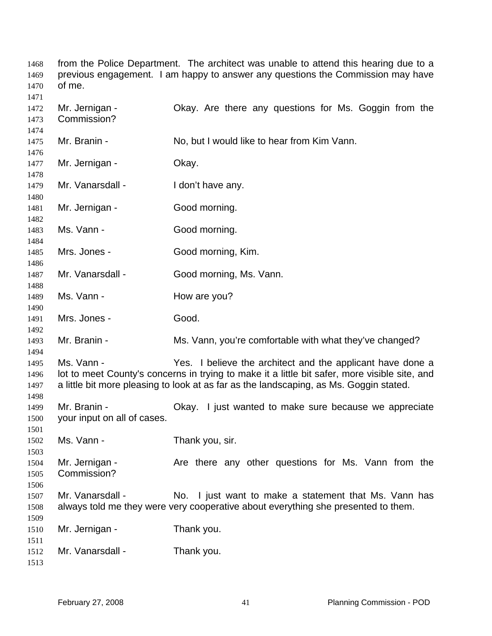from the Police Department. The architect was unable to attend this hearing due to a previous engagement. I am happy to answer any questions the Commission may have of me. 

| 1471 |                                                                                               |                                                                                   |  |  |  |  |  |  |  |  |
|------|-----------------------------------------------------------------------------------------------|-----------------------------------------------------------------------------------|--|--|--|--|--|--|--|--|
| 1472 | Mr. Jernigan -                                                                                | Okay. Are there any questions for Ms. Goggin from the                             |  |  |  |  |  |  |  |  |
| 1473 | Commission?                                                                                   |                                                                                   |  |  |  |  |  |  |  |  |
| 1474 |                                                                                               |                                                                                   |  |  |  |  |  |  |  |  |
| 1475 | Mr. Branin -                                                                                  | No, but I would like to hear from Kim Vann.                                       |  |  |  |  |  |  |  |  |
| 1476 |                                                                                               |                                                                                   |  |  |  |  |  |  |  |  |
| 1477 | Mr. Jernigan -                                                                                | Okay.                                                                             |  |  |  |  |  |  |  |  |
| 1478 |                                                                                               |                                                                                   |  |  |  |  |  |  |  |  |
|      | Mr. Vanarsdall -                                                                              |                                                                                   |  |  |  |  |  |  |  |  |
| 1479 |                                                                                               | I don't have any.                                                                 |  |  |  |  |  |  |  |  |
| 1480 |                                                                                               |                                                                                   |  |  |  |  |  |  |  |  |
| 1481 | Mr. Jernigan -                                                                                | Good morning.                                                                     |  |  |  |  |  |  |  |  |
| 1482 |                                                                                               |                                                                                   |  |  |  |  |  |  |  |  |
| 1483 | Ms. Vann -                                                                                    | Good morning.                                                                     |  |  |  |  |  |  |  |  |
| 1484 |                                                                                               |                                                                                   |  |  |  |  |  |  |  |  |
| 1485 | Mrs. Jones -                                                                                  | Good morning, Kim.                                                                |  |  |  |  |  |  |  |  |
| 1486 |                                                                                               |                                                                                   |  |  |  |  |  |  |  |  |
| 1487 | Mr. Vanarsdall -                                                                              | Good morning, Ms. Vann.                                                           |  |  |  |  |  |  |  |  |
| 1488 |                                                                                               |                                                                                   |  |  |  |  |  |  |  |  |
| 1489 | Ms. Vann -                                                                                    | How are you?                                                                      |  |  |  |  |  |  |  |  |
| 1490 |                                                                                               |                                                                                   |  |  |  |  |  |  |  |  |
| 1491 | Mrs. Jones -                                                                                  | Good.                                                                             |  |  |  |  |  |  |  |  |
| 1492 |                                                                                               |                                                                                   |  |  |  |  |  |  |  |  |
| 1493 | Mr. Branin -                                                                                  | Ms. Vann, you're comfortable with what they've changed?                           |  |  |  |  |  |  |  |  |
| 1494 |                                                                                               |                                                                                   |  |  |  |  |  |  |  |  |
| 1495 | Ms. Vann -                                                                                    | Yes. I believe the architect and the applicant have done a                        |  |  |  |  |  |  |  |  |
| 1496 | lot to meet County's concerns in trying to make it a little bit safer, more visible site, and |                                                                                   |  |  |  |  |  |  |  |  |
| 1497 | a little bit more pleasing to look at as far as the landscaping, as Ms. Goggin stated.        |                                                                                   |  |  |  |  |  |  |  |  |
| 1498 |                                                                                               |                                                                                   |  |  |  |  |  |  |  |  |
| 1499 | Mr. Branin -                                                                                  | Okay. I just wanted to make sure because we appreciate                            |  |  |  |  |  |  |  |  |
|      |                                                                                               |                                                                                   |  |  |  |  |  |  |  |  |
| 1500 | your input on all of cases.                                                                   |                                                                                   |  |  |  |  |  |  |  |  |
| 1501 |                                                                                               |                                                                                   |  |  |  |  |  |  |  |  |
| 1502 | Ms. Vann -                                                                                    | Thank you, sir.                                                                   |  |  |  |  |  |  |  |  |
| 1503 |                                                                                               |                                                                                   |  |  |  |  |  |  |  |  |
| 1504 | Mr. Jernigan -                                                                                | Are there any other questions for Ms. Vann from the                               |  |  |  |  |  |  |  |  |
| 1505 | Commission?                                                                                   |                                                                                   |  |  |  |  |  |  |  |  |
| 1506 |                                                                                               |                                                                                   |  |  |  |  |  |  |  |  |
| 1507 | Mr. Vanarsdall -                                                                              | I just want to make a statement that Ms. Vann has<br>No.                          |  |  |  |  |  |  |  |  |
| 1508 |                                                                                               | always told me they were very cooperative about everything she presented to them. |  |  |  |  |  |  |  |  |
| 1509 |                                                                                               |                                                                                   |  |  |  |  |  |  |  |  |
| 1510 | Mr. Jernigan -                                                                                | Thank you.                                                                        |  |  |  |  |  |  |  |  |
| 1511 |                                                                                               |                                                                                   |  |  |  |  |  |  |  |  |
| 1512 | Mr. Vanarsdall -                                                                              | Thank you.                                                                        |  |  |  |  |  |  |  |  |
| 1513 |                                                                                               |                                                                                   |  |  |  |  |  |  |  |  |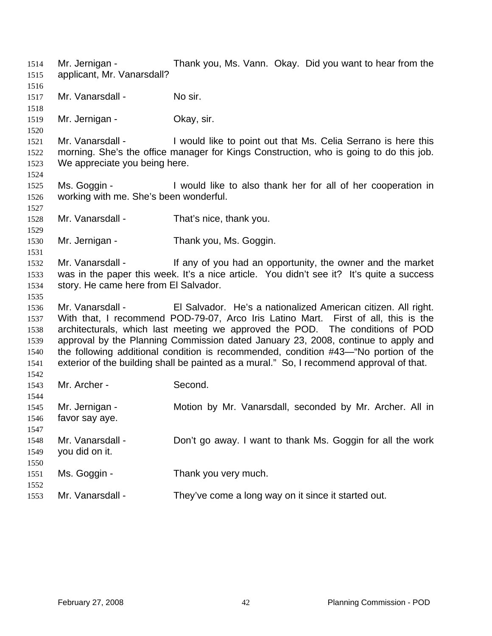Mr. Jernigan - Thank you, Ms. Vann. Okay. Did you want to hear from the applicant, Mr. Vanarsdall? 1514 1515 1516 1517 1518 1519 1520 1521 1522 1523 1524 1525 1526 1527 1528 1529 1530 1531 1532 1533 1534 1535 1536 1537 1538 1539 1540 1541 1542 1543 1544 1545 1546 1547 1548 1549 1550 1551 1552 1553 Mr. Vanarsdall - No sir. Mr. Jernigan - **Okay**, sir. Mr. Vanarsdall - I would like to point out that Ms. Celia Serrano is here this morning. She's the office manager for Kings Construction, who is going to do this job. We appreciate you being here. Ms. Goggin - I would like to also thank her for all of her cooperation in working with me. She's been wonderful. Mr. Vanarsdall - That's nice, thank you. Mr. Jernigan - Thank you, Ms. Goggin. Mr. Vanarsdall - If any of you had an opportunity, the owner and the market was in the paper this week. It's a nice article. You didn't see it? It's quite a success story. He came here from El Salvador. Mr. Vanarsdall - El Salvador. He's a nationalized American citizen. All right. With that, I recommend POD-79-07, Arco Iris Latino Mart. First of all, this is the architecturals, which last meeting we approved the POD. The conditions of POD approval by the Planning Commission dated January 23, 2008, continue to apply and the following additional condition is recommended, condition #43—"No portion of the exterior of the building shall be painted as a mural." So, I recommend approval of that. Mr. Archer - Second. Mr. Jernigan - **Motion by Mr. Vanarsdall, seconded by Mr. Archer. All in** favor say aye. Mr. Vanarsdall - Don't go away. I want to thank Ms. Goggin for all the work you did on it. Ms. Goggin - Thank you very much. Mr. Vanarsdall - They've come a long way on it since it started out.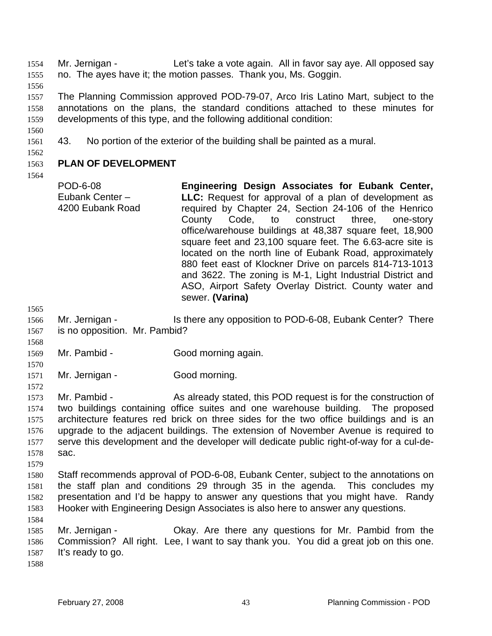Mr. Jernigan - Let's take a vote again. All in favor say aye. All opposed say no. The ayes have it; the motion passes. Thank you, Ms. Goggin. 1554 1555

1556

1557 1558 1559 The Planning Commission approved POD-79-07, Arco Iris Latino Mart, subject to the annotations on the plans, the standard conditions attached to these minutes for developments of this type, and the following additional condition:

1561 43. No portion of the exterior of the building shall be painted as a mural.

1562

1560

### 1563 **PLAN OF DEVELOPMENT**

1564

POD-6-08 Eubank Center – 4200 Eubank Road **Engineering Design Associates for Eubank Center, LLC:** Request for approval of a plan of development as required by Chapter 24, Section 24-106 of the Henrico County Code, to construct three, one-story office/warehouse buildings at 48,387 square feet, 18,900 square feet and 23,100 square feet. The 6.63-acre site is located on the north line of Eubank Road, approximately 880 feet east of Klockner Drive on parcels 814-713-1013 and 3622. The zoning is M-1, Light Industrial District and ASO, Airport Safety Overlay District. County water and sewer. **(Varina)** 

1565

1568

- 1566 1567 Mr. Jernigan - Is there any opposition to POD-6-08, Eubank Center? There is no opposition. Mr. Pambid?
- 1569 Mr. Pambid - Good morning again.
- 1570 1571 Mr. Jernigan - Good morning.
- 1572 1573 1574 Mr. Pambid - As already stated, this POD request is for the construction of two buildings containing office suites and one warehouse building. The proposed
	- 1575 1576 1577 1578 architecture features red brick on three sides for the two office buildings and is an upgrade to the adjacent buildings. The extension of November Avenue is required to serve this development and the developer will dedicate public right-of-way for a cul-desac.
	- 1579
	- 1580 1581 1582 1583 Staff recommends approval of POD-6-08, Eubank Center, subject to the annotations on the staff plan and conditions 29 through 35 in the agenda. This concludes my presentation and I'd be happy to answer any questions that you might have. Randy Hooker with Engineering Design Associates is also here to answer any questions.
	- 1585 1586 1587 Mr. Jernigan - Ckay. Are there any questions for Mr. Pambid from the Commission? All right. Lee, I want to say thank you. You did a great job on this one. It's ready to go.
	- 1588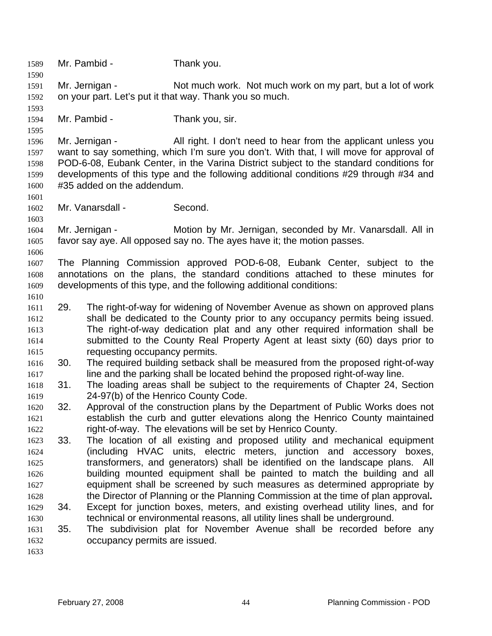1589 Mr. Pambid - Thank you. 1590 1591 1592 1593 1594 1595 1596 1597 1598 1599 1600 1601 1602 1603 1604 1605 1606 1607 1608 1609 1610 1611 1612 1613 1614 1615 1616 1617 1618 1619 1620 1621 1622 1623 1624 1625 1626 1627 1628 1629 1630 1631 1632 1633 Mr. Jernigan - Not much work. Not much work on my part, but a lot of work on your part. Let's put it that way. Thank you so much. Mr. Pambid - Thank you, sir. Mr. Jernigan - All right. I don't need to hear from the applicant unless you want to say something, which I'm sure you don't. With that, I will move for approval of POD-6-08, Eubank Center, in the Varina District subject to the standard conditions for developments of this type and the following additional conditions #29 through #34 and #35 added on the addendum. Mr. Vanarsdall - Second. Mr. Jernigan - **Motion by Mr. Jernigan, seconded by Mr. Vanarsdall.** All in favor say aye. All opposed say no. The ayes have it; the motion passes. The Planning Commission approved POD-6-08, Eubank Center, subject to the annotations on the plans, the standard conditions attached to these minutes for developments of this type, and the following additional conditions: 29. The right-of-way for widening of November Avenue as shown on approved plans shall be dedicated to the County prior to any occupancy permits being issued. The right-of-way dedication plat and any other required information shall be submitted to the County Real Property Agent at least sixty (60) days prior to requesting occupancy permits. 30. The required building setback shall be measured from the proposed right-of-way line and the parking shall be located behind the proposed right-of-way line. 31. The loading areas shall be subject to the requirements of Chapter 24, Section 24-97(b) of the Henrico County Code. 32. Approval of the construction plans by the Department of Public Works does not establish the curb and gutter elevations along the Henrico County maintained right-of-way. The elevations will be set by Henrico County. 33. The location of all existing and proposed utility and mechanical equipment (including HVAC units, electric meters, junction and accessory boxes, transformers, and generators) shall be identified on the landscape plans. All building mounted equipment shall be painted to match the building and all equipment shall be screened by such measures as determined appropriate by the Director of Planning or the Planning Commission at the time of plan approval**.**  34. Except for junction boxes, meters, and existing overhead utility lines, and for technical or environmental reasons, all utility lines shall be underground. 35. The subdivision plat for November Avenue shall be recorded before any occupancy permits are issued.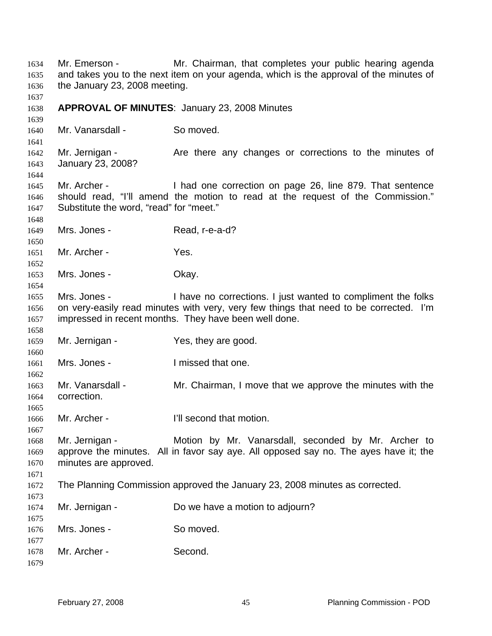Mr. Emerson - Mr. Chairman, that completes your public hearing agenda and takes you to the next item on your agenda, which is the approval of the minutes of the January 23, 2008 meeting. **APPROVAL OF MINUTES**: January 23, 2008 Minutes Mr. Vanarsdall - So moved. Mr. Jernigan - The Are there any changes or corrections to the minutes of January 23, 2008? Mr. Archer - I had one correction on page 26, line 879. That sentence should read, "I'll amend the motion to read at the request of the Commission." Substitute the word, "read" for "meet." Mrs. Jones - Read, r-e-a-d? Mr. Archer - Yes. Mrs. Jones - Chay. Mrs. Jones - I have no corrections. I just wanted to compliment the folks on very-easily read minutes with very, very few things that need to be corrected. I'm impressed in recent months. They have been well done. Mr. Jernigan - Yes, they are good. Mrs. Jones - The I missed that one. Mr. Vanarsdall - Mr. Chairman, I move that we approve the minutes with the correction. Mr. Archer - T'll second that motion. Mr. Jernigan - **Motion by Mr. Vanarsdall, seconded by Mr. Archer to** approve the minutes. All in favor say aye. All opposed say no. The ayes have it; the minutes are approved. The Planning Commission approved the January 23, 2008 minutes as corrected. Mr. Jernigan - Do we have a motion to adjourn? Mrs. Jones - So moved. Mr. Archer - Second.